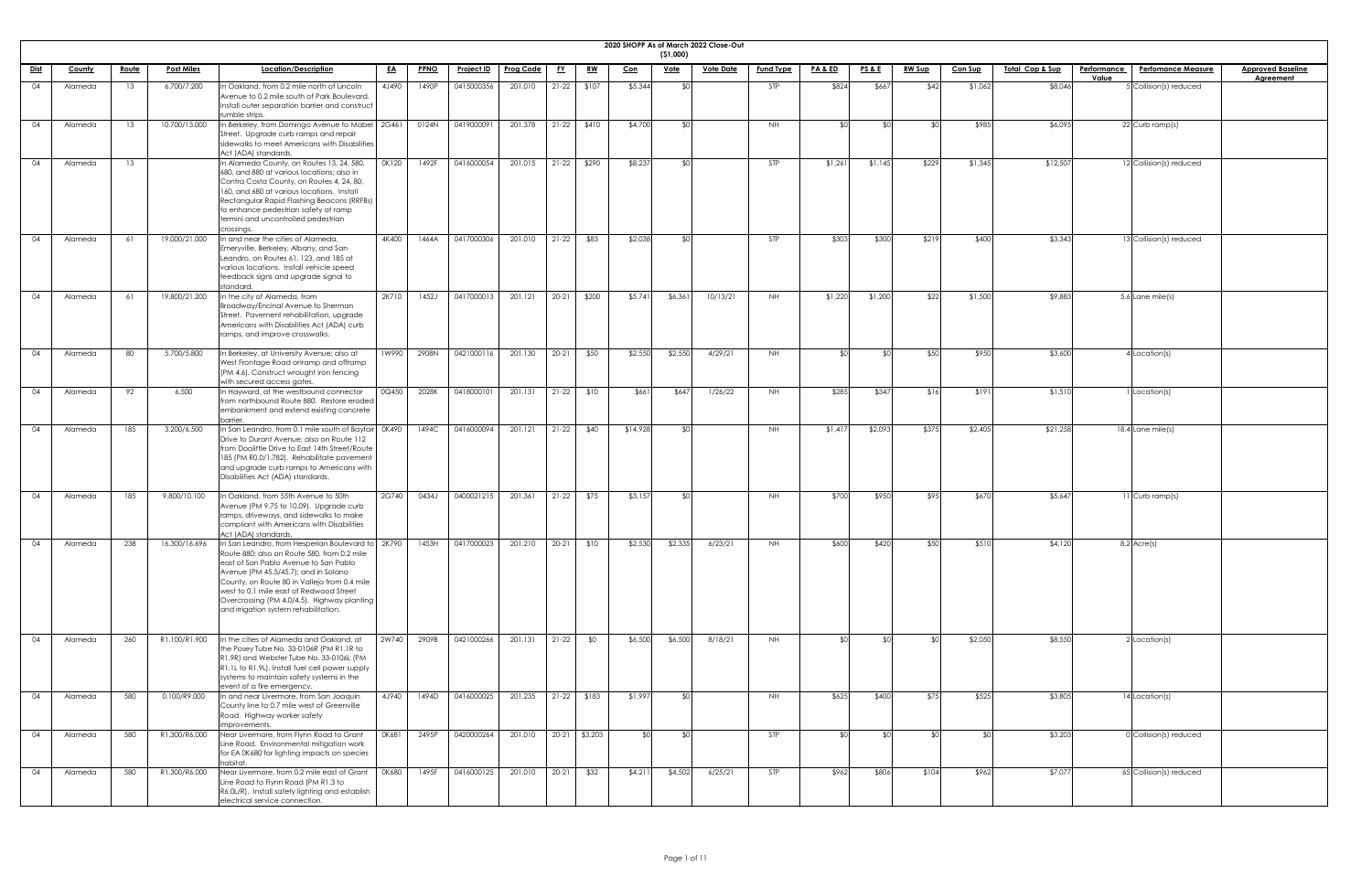|             | 2020 SHOPP As of March 2022 Close-Out<br>(51,000) |              |                   |                                                                                                                                                                                                                                                                                                                                                                |           |             |                   |                  |           |               |            |             |                  |                  |                    |                 |               |                |                             |             |                           |                          |
|-------------|---------------------------------------------------|--------------|-------------------|----------------------------------------------------------------------------------------------------------------------------------------------------------------------------------------------------------------------------------------------------------------------------------------------------------------------------------------------------------------|-----------|-------------|-------------------|------------------|-----------|---------------|------------|-------------|------------------|------------------|--------------------|-----------------|---------------|----------------|-----------------------------|-------------|---------------------------|--------------------------|
| <u>Dist</u> | County                                            | <u>Route</u> | <b>Post Miles</b> | Location/Description                                                                                                                                                                                                                                                                                                                                           | <u>EA</u> | <b>PPNO</b> | <u>Project ID</u> | <b>Prog Code</b> | <u>FY</u> | <u>RW</u>     | <u>Con</u> | <u>Vote</u> | <b>Vote Date</b> | <b>Fund Type</b> | <u>PA &amp; ED</u> | <b>PS&amp;E</b> | <b>RW Sup</b> | <b>Con Sup</b> | <u> Total Cap &amp; Sup</u> | Performance | <b>Perfomance Measure</b> | <b>Approved Baseline</b> |
| 04          | Alameda                                           | 13           | 6.700/7.200       | n Oakland, from 0.2 mile north of Lincoln<br>Avenue to 0.2 mile south of Park Boulevard.<br>Install outer separation barrier and construct<br>rumble strips.                                                                                                                                                                                                   | 4J490     | 1490P       | 0415000356        | 201.010          | $21-22$   | \$107         | \$5,344    | ፋስ          |                  | <b>STP</b>       | \$824              | \$667           | \$42          | \$1,062        | \$8,046                     | Value       | 5 Collision(s) reduced    | <b>Agreement</b>         |
| 04          | Alameda                                           | 13           | 10.700/13.000     | In Berkeley, from Domingo Avenue to Mabel   2G461<br>Street. Upgrade curb ramps and repair<br>sidewalks to meet Americans with Disabilities<br>Act (ADA) standards.                                                                                                                                                                                            |           | 0124N       | 0419000091        | 201.378          | $21-22$   | \$410         | \$4,700    |             |                  | <b>NH</b>        |                    | ያበ              |               | \$985          | \$6,095                     |             | 22 Curb ramp(s)           |                          |
| 04          | Alameda                                           | 13           |                   | In Alameda County, on Routes 13, 24, 580,<br>680, and 880 at various locations; also in<br>Contra Costa County, on Routes 4, 24, 80,<br>160, and 680 at various locations. Install<br>Rectangular Rapid Flashing Beacons (RRFBs)<br>to enhance pedestrian safety at ramp<br>termini and uncontrolled pedestrian<br>crossings.                                  | 0K120     | 1492F       | 0416000054        | 201.015          | $21-22$   | \$290         | \$8,237    |             |                  | STP              | \$1,261            | \$1,145         | \$229         | \$1,345        | \$12,507                    |             | 12 Collision(s) reduced   |                          |
| 04          | Alameda                                           | 61           | 19.000/21.000     | In and near the cities of Alameda,<br>Emeryville, Berkeley, Albany, and San<br>Leandro, on Routes 61, 123, and 185 at<br>various locations. Install vehicle speed<br>feedback signs and upgrade signal to<br>standard.                                                                                                                                         | 4K400     | 1464A       | 0417000306        | 201.010          | $21 - 22$ | \$83          | \$2,038    | ላ ተ         |                  | <b>STP</b>       | \$303              | \$300           | \$219         | \$400          | \$3,343                     |             | 13 Collision(s) reduced   |                          |
| 04          | Alameda                                           | 61           | 19.800/21.200     | In the city of Alameda, from<br><b>Broadway/Encinal Avenue to Sherman</b><br>Street. Pavement rehabilitation, upgrade<br>Americans with Disabilities Act (ADA) curb<br>ramps, and improve crosswalks.                                                                                                                                                          | 2K710     | 1452J       | 0417000013        | 201.121          | $20 - 21$ | \$200         | \$5,741    | \$6,361     | 10/13/21         | <b>NH</b>        | \$1,220            | \$1,200         | \$22          | \$1,500        | \$9,883                     |             | 5.6 Lane mile(s)          |                          |
| 04          | Alameda                                           | 80           | 5.700/5.800       | In Berkeley, at University Avenue; also at<br>West Frontage Road onramp and offramp<br>(PM 4.6). Construct wrought iron fencing<br>with secured access gates.                                                                                                                                                                                                  | 1W990     | 2908N       | 0421000116        | 201.130          | $20 - 21$ | \$50          | \$2,550    | \$2,550     | 4/29/21          | NH               |                    |                 |               | \$950          | \$3,600                     |             | Location(s)               |                          |
| 04          | Alameda                                           | 92           | 6.500             | In Hayward, at the westbound connector<br>from northbound Route 880. Restore eroded<br>embankment and extend existing concrete<br>barrier.                                                                                                                                                                                                                     | 0Q450     | 2028K       | 0418000101        | 201.131          | $21-22$   | \$10          | \$661      | \$647       | 1/26/22          | NH .             | \$285              | \$347           | \$16          | \$191          | \$1,510                     |             | Location(s)               |                          |
| 04          | Alameda                                           | 185          | 3.200/6.500       | In San Leandro, from 0.1 mile south of Bayfair 0K490<br>Drive to Durant Avenue; also on Route 112<br>from Doolittle Drive to East 14th Street/Route<br>185 (PM R0.0/1.782). Rehabilitate pavement<br>and upgrade curb ramps to Americans with<br>Disabilities Act (ADA) standards.                                                                             |           | 1494C       | 0416000094        | 201.121          | $21-22$   | \$40          | \$14,928   |             |                  | <b>NH</b>        | \$1,417            | \$2,093         | \$375         | \$2,405        | \$21,258                    |             | 18.4 Lane mile(s)         |                          |
| 04          | Alameda                                           | 185          | 9.800/10.100      | In Oakland, from 55th Avenue to 50th<br>Avenue (PM 9.75 to 10.09). Upgrade curb<br>ramps, driveways, and sidewalks to make<br>compliant with Americans with Disabilities<br>Act (ADA) standards.                                                                                                                                                               | 2G740     | 0434J       | 0400021215        | 201.361          | $21-22$   | \$75          | \$3,157    |             |                  | <b>NH</b>        | \$700              | \$950           | \$95          | \$670          | \$5,647                     |             | $11$ Curb ramp(s)         |                          |
| 04          | Alameda                                           | 238          | 16.300/16.696     | In San Leandro, from Hesperian Boulevard to<br>Route 880; also on Route 580, from 0.2 mile<br>east of San Pablo Avenue to San Pablo<br>Avenue (PM 45.5/45.7); and in Solano<br>County, on Route 80 in Vallejo from 0.4 mile<br>west to 0.1 mile east of Redwood Street<br>Overcrossing (PM 4.0/4.5). Highway planting<br>and irrigation system rehabilitation. | D 2K790   | 1453H       | 0417000023        | 201.210          | $20 - 21$ | \$10          | \$2,530    | \$2,335     | 6/23/21          | <b>NH</b>        | \$600              | \$420           | \$50          | \$510          | \$4,120                     |             | $8.2$ Acre(s)             |                          |
| 04          | Alameda                                           | 260          | R1.100/R1.900     | In the cities of Alameda and Oakland, at<br>the Posey Tube No. 33-0106R (PM R1.1R to<br>R1.9R) and Webster Tube No. 33-0106L (PM<br>R1.1L to R1.9L). Install fuel cell power supply<br>systems to maintain safety systems in the<br>event of a fire emergency.                                                                                                 | 2W740     | 2909B       | 0421000266        | 201.131          | $21 - 22$ | \$0           | \$6,500    | \$6,500     | 8/18/21          | <b>NH</b>        |                    | \$∩             |               | \$2,050        | \$8,550                     |             | $2$ Location(s)           |                          |
| 04          | Alameda                                           | 580          | 0.100/R9.000      | In and near Livermore, from San Joaquin<br>County line to 0.7 mile west of Greenville<br>Road. Highway worker safety<br>improvements                                                                                                                                                                                                                           | 4J940     | 1494D       | 0416000025        | 201.235          |           | $21-22$ \$183 | \$1,997    | .  የቦ       |                  | <b>NH</b>        | \$625              | \$400           | \$75          | \$525          | \$3,805                     |             | 14 Location(s)            |                          |
| 04          | Alameda                                           | 580          | R1.300/R6.000     | Near Livermore, from Flynn Road to Grant<br>Line Road. Environmental mitigation work<br>for EA 0K680 for lighting impacts on species<br>habitat.                                                                                                                                                                                                               | OK681     | 2495P       | 0420000264        | 201.010          | $20 - 21$ | \$3,203       | ላ የ        |             |                  | <b>STP</b>       | ዳበ                 | ዳበ              |               |                | \$3,203                     |             | 0 Collision(s) reduced    |                          |
| 04          | Alameda                                           | 580          | R1.300/R6.000     | Near Livermore, from 0.2 mile east of Grant<br>Line Road to Flynn Road (PM R1.3 to<br>R6.0L/R). Install safety lighting and establish<br>electrical service connection.                                                                                                                                                                                        | 0K680     | 1495F       | 0416000125        | 201.010          | $20 - 21$ | \$32          | \$4,211    | \$4,502     | 6/25/21          | <b>STP</b>       | \$962              | \$806           | \$104         | \$962          | \$7,077                     |             | 65 Collision(s) reduced   |                          |

| eline<br><u>lt</u> |
|--------------------|
|                    |
|                    |
|                    |
|                    |
|                    |
|                    |
|                    |
|                    |
|                    |
|                    |
|                    |
|                    |
|                    |
|                    |
|                    |
|                    |
|                    |
|                    |
|                    |
|                    |
|                    |
|                    |
|                    |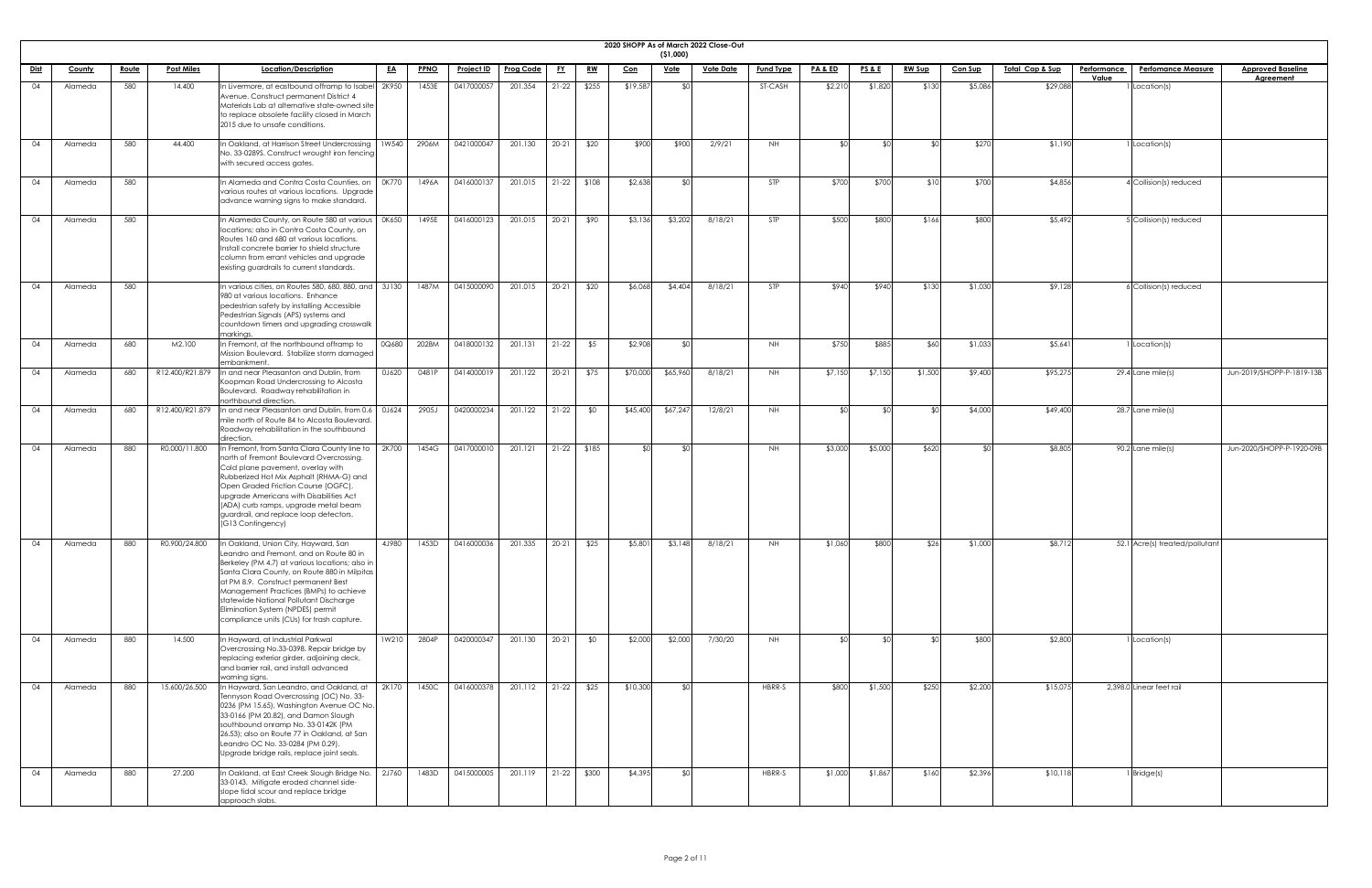|             | 2020 SHOPP As of March 2022 Close-Out<br>(51,000) |              |                   |                                                                                                                                                                                                                                                                                                                                                                                                          |             |                   |                        |           |               |            |             |                  |                  |                    |                 |               |                |                            |                                          |                           |
|-------------|---------------------------------------------------|--------------|-------------------|----------------------------------------------------------------------------------------------------------------------------------------------------------------------------------------------------------------------------------------------------------------------------------------------------------------------------------------------------------------------------------------------------------|-------------|-------------------|------------------------|-----------|---------------|------------|-------------|------------------|------------------|--------------------|-----------------|---------------|----------------|----------------------------|------------------------------------------|---------------------------|
| <u>Dist</u> | County                                            | <u>Route</u> | <b>Post Miles</b> | Location/Description<br><u>EA</u>                                                                                                                                                                                                                                                                                                                                                                        | <b>PPNO</b> | <b>Project ID</b> | <b>Prog Code</b>       | <u>FY</u> | <u>RW</u>     | <u>Con</u> | <u>Vote</u> | <b>Vote Date</b> | <b>Fund Type</b> | <b>PA &amp; ED</b> | <u>PS&amp;E</u> | <b>RW Sup</b> | <b>Con Sup</b> | <u>Total Cap &amp; Sup</u> | Performance<br><b>Perfomance Measure</b> | <b>Approved Baseline</b>  |
| 04          | Alameda                                           | 580          | 14.400            | In Livermore, at eastbound offramp to Isabel 2K950<br>Avenue. Construct permanent District 4<br>Materials Lab at alternative state-owned site<br>to replace obsolete facility closed in March<br>2015 due to unsafe conditions.                                                                                                                                                                          | 1453E       | 0417000057        | 201.354                | $21-22$   | \$255         | \$19,587   | ያ የ         |                  | ST-CASH          | \$2,210            | \$1,820         | \$130         | \$5,086        | \$29,088                   | Value<br>Location(s)                     | Agreement                 |
| 04          | Alameda                                           | 580          | 44.400            | 1W540<br>In Oakland, at Harrison Street Undercrossing<br>No. 33-0289S. Construct wrought iron fencing<br>with secured access gates.                                                                                                                                                                                                                                                                      | 2906M       | 0421000047        | 201.130                | $20 - 21$ | \$20          | \$900      | \$900       | 2/9/21           | NH               |                    |                 |               | \$270          | \$1,190                    | Location(s)                              |                           |
| 04          | Alameda                                           | 580          |                   | In Alameda and Contra Costa Counties, on<br>0K770<br>various routes at various locations. Upgrade<br>advance warning signs to make standard.                                                                                                                                                                                                                                                             | 1496A       | 0416000137        | 201.015                | $21-22$   | \$108         | \$2,638    | ≮∩I         |                  | STP              | \$700              | \$700           | \$10          | \$700          | \$4,856                    | 4 Collision(s) reduced                   |                           |
| 04          | Alameda                                           | 580          |                   | n Alameda County, on Route 580 at various<br>OK650<br>locations; also in Contra Costa County, on<br>Routes 160 and 680 at various locations.<br>Install concrete barrier to shield structure<br>column from errant vehicles and upgrade<br>existing guardrails to current standards.                                                                                                                     | 1495E       | 0416000123        | 201.015                | $20 - 21$ | \$90          | \$3,136    | \$3,202     | 8/18/21          | <b>STP</b>       | \$500              | \$800           | \$166         | \$800          | \$5,492                    | 5 Collision(s) reduced                   |                           |
| 04          | Alameda                                           | 580          |                   | $\overline{\ln$ various cities, on Routes 580, 680, 880, and $\overline{\ln}$ 3J130<br>980 at various locations. Enhance<br>pedestrian safety by installing Accessible<br>Pedestrian Signals (APS) systems and<br>countdown timers and upgrading crosswalk<br>markinas.                                                                                                                                  | 1487M       | 0415000090        | 201.015                | $20 - 21$ | \$20          | \$6,068    | \$4,404     | 8/18/21          | <b>STP</b>       | \$940              | \$940           | \$130         | \$1,030        | \$9,128                    | SCollision(s) reduced                    |                           |
| 04          | Alameda                                           | 680          | M2.100            | In Fremont, at the northbound offramp to<br>0Q680<br>Mission Boulevard. Stabilize storm damaged<br>embankment.                                                                                                                                                                                                                                                                                           | 2028M       | 0418000132        | 201.131                | $21-22$   | \$5           | \$2,908    |             |                  | <b>NH</b>        | \$750              | \$885           | \$60          | \$1,033        | \$5,64                     | Location(s)                              |                           |
| 04          | Alameda                                           | 680          | R12.400/R21.879   | In and near Pleasanton and Dublin, from<br>0J620<br>Koopman Road Undercrossing to Alcosta<br>Boulevard. Roadway rehabilitation in<br>northbound direction.                                                                                                                                                                                                                                               | 0481P       | 0414000019        | 201.122                | $20 - 21$ | \$75          | \$70,000   | \$65,960    | 8/18/21          | NH.              | \$7,150            | \$7,150         | \$1,500       | \$9,400        | \$95,275                   | 29.4 Lane mile(s)                        | Jun-2019/SHOPP-P-1819-13B |
| 04          | Alameda                                           | 680          | R12.400/R21.879   | In and near Pleasanton and Dublin, from 0.6   0J624<br>mile north of Route 84 to Alcosta Boulevard.<br>Roadway rehabilitation in the southbound<br>direction.                                                                                                                                                                                                                                            | 2905J       | 0420000234        | 201.122                | $21-22$   | \$0           | \$45,400   | \$67,247    | 12/8/21          | <b>NH</b>        | ו∩≯                |                 |               | \$4,000        | \$49,400                   | 28.7 Lane mile(s)                        |                           |
| 04          | Alameda                                           | 880          | R0.000/11.800     | In Fremont, from Santa Clara County line to<br>2K700<br>north of Fremont Boulevard Overcrossing.<br>Cold plane pavement, overlay with<br>Rubberized Hot Mix Asphalt (RHMA-G) and<br>Open Graded Friction Course (OGFC),<br>upgrade Americans with Disabilities Act<br>(ADA) curb ramps, upgrade metal beam<br>guardrail, and replace loop detectors.<br>(G13 Contingency)                                | 1454G       | 0417000010        | 201.121                |           | $21-22$ \$185 | SOI        | ו∩≯         |                  | NH               | \$3,000            | \$5,000         | \$620         |                | \$8,805                    | $90.2$ Lane mile(s)                      | Jun-2020/SHOPP-P-1920-09B |
| 04          | Alameda                                           | 880          | R0.900/24.800     | In Oakland, Union City, Hayward, San<br>4J980<br>Leandro and Fremont, and on Route 80 in<br>Berkeley (PM 4.7) at various locations; also in<br>Santa Clara County, on Route 880 in Milpitas<br>at PM 8.9. Construct permanent Best<br>Management Practices (BMPs) to achieve<br>statewide National Pollutant Discharge<br>Elimination System (NPDES) permit<br>compliance units (CUs) for trash capture. | 1453D       | 0416000036        | 201.335                | $20 - 21$ | \$25          | \$5,801    | \$3,148     | 8/18/21          | NH               | \$1,060            | \$800           | \$26          | \$1,000        | \$8,712                    | 52.1 Acre(s) treated/pollutant           |                           |
| -04         | Alameda                                           | 880          | 14.500            | In Hayward, at Industrial Parkwal<br>1W210<br>Overcrossing No.33-0398. Repair bridge by<br>replacing exterior girder, adjoining deck,<br>and barrier rail, and install advanced                                                                                                                                                                                                                          | 2804P       | 0420000347        | 201.130                | $20 - 21$ | \$0           | \$2,000    | \$2,000     | 7/30/20          | NH               |                    |                 |               | \$800          | \$2,800                    | Location(s)                              |                           |
| 04          | Alameda                                           | 880          | 15.600/26.500     | warning signs.<br>In Hayward, San Leandro, and Oakland, at<br>2K170<br>Tennyson Road Overcrossing (OC) No. 33-<br>0236 (PM 15.65), Washington Avenue OC No.<br>33-0166 (PM 20.82), and Damon Slough<br>southbound onramp No. 33-0142K (PM<br>26.53); also on Route 77 in Oakland, at San<br>Leandro OC No. 33-0284 (PM 0.29).<br>Upgrade bridge rails, replace joint seals.                              |             | 1450C 0416000378  | 201.112   21-22   \$25 |           |               | \$10,300   |             |                  | HBRR-S           | \$800              | \$1,500         | \$250         | \$2,200        | \$15,075                   | 2,398.0 Linear feet rail                 |                           |
| 04          | Alameda                                           | 880          | 27.200            | In Oakland, at East Creek Slough Bridge No.<br>2J760<br>33-0143. Mitigate eroded channel side-<br>slope tidal scour and replace bridge<br>approach slabs.                                                                                                                                                                                                                                                | 1483D       | 0415000005        | 201.119                |           | 21-22 \$300   | \$4,395    | SO          |                  | HBRR-S           | \$1,000            | \$1,867         | \$160         | \$2,396        | \$10,118                   | Bridge(s)                                |                           |

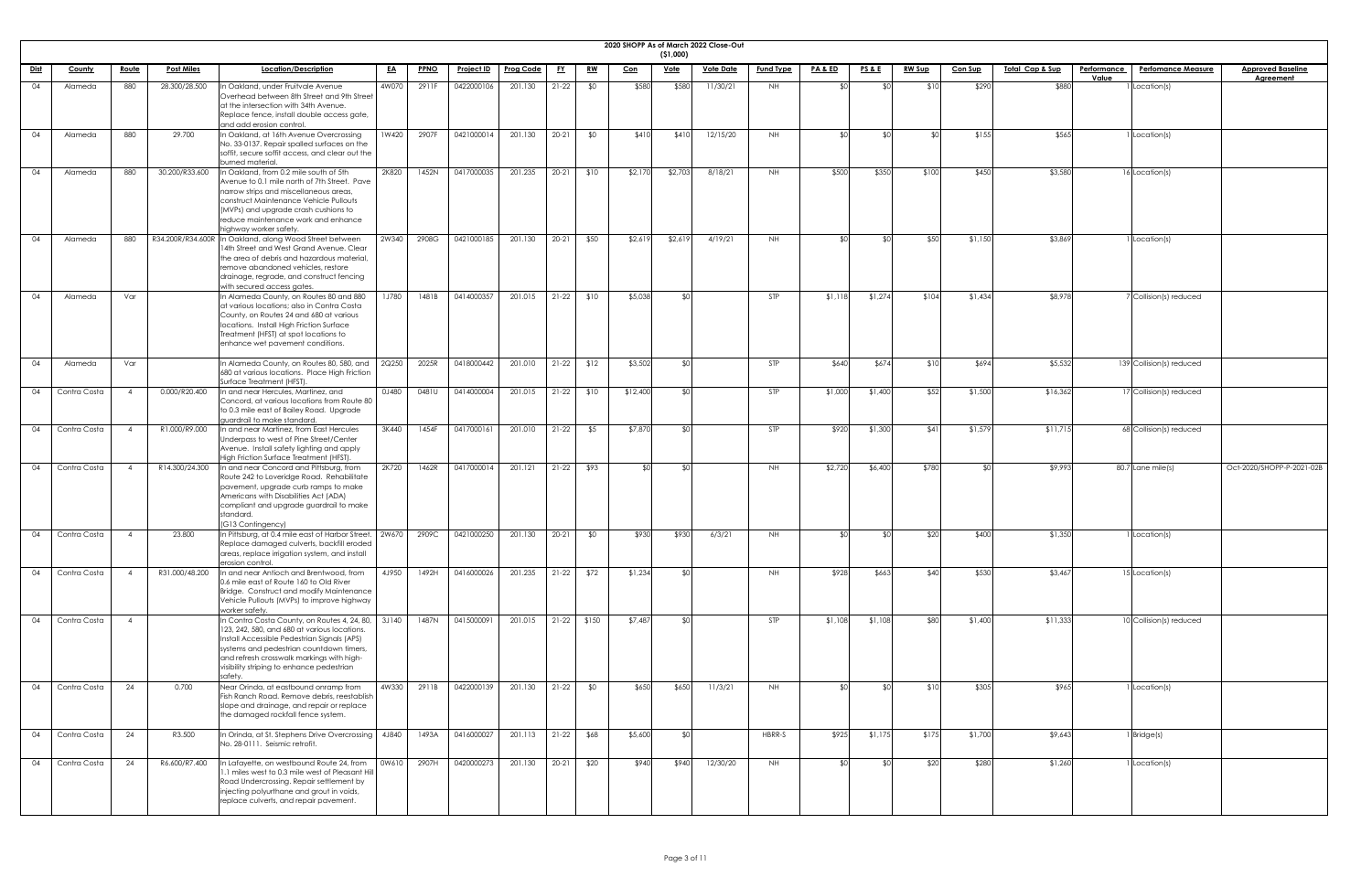| <b>2020 SHOPP</b> |  |
|-------------------|--|

|             | 2020 SHOPP As of March 2022 Close-Out |                |                   |                                                                                                                                                                                                                                                                                             |              |             |                   |                  |           |           |            |                           |                  |                  |                    |                 |               |                |                                                   |                           |                           |
|-------------|---------------------------------------|----------------|-------------------|---------------------------------------------------------------------------------------------------------------------------------------------------------------------------------------------------------------------------------------------------------------------------------------------|--------------|-------------|-------------------|------------------|-----------|-----------|------------|---------------------------|------------------|------------------|--------------------|-----------------|---------------|----------------|---------------------------------------------------|---------------------------|---------------------------|
| <u>Dist</u> | <b>County</b>                         | <u>Route</u>   | <b>Post Miles</b> | Location/Description                                                                                                                                                                                                                                                                        | <u>EA</u>    | <b>PPNO</b> | <u>Project ID</u> | <b>Prog Code</b> | <u>FY</u> | <u>RW</u> | <u>Con</u> | ( \$1,000)<br><u>Vote</u> | <u>Vote Date</u> | <b>Fund Type</b> | <b>PA &amp; ED</b> | <u>PS&amp;E</u> | <b>RW Sup</b> | <u>Con Sup</u> | <u> Total Cap &amp; Sup</u><br><b>Performance</b> | <b>Perfomance Measure</b> | <b>Approved Baseline</b>  |
|             |                                       |                |                   |                                                                                                                                                                                                                                                                                             |              |             |                   |                  |           |           |            |                           |                  |                  |                    |                 |               |                | Value                                             |                           | <b>Agreement</b>          |
| 04          | Alameda                               | 880            | 28.300/28.500     | n Oakland, under Fruitvale Avenue<br>Overhead between 8th Street and 9th Street<br>at the intersection with 34th Avenue.<br>Replace fence, install double access gate,<br>and add erosion control.                                                                                          | 4W070        | 2911F       | 0422000106        | 201.130          | $21-22$   | \$0       | \$580      | \$580                     | 11/30/21         | NH               |                    |                 |               | \$290          | \$880                                             | 1 Location(s)             |                           |
| 04          | Alameda                               | 880            | 29.700            | In Oakland, at 16th Avenue Overcrossing<br>No. 33-0137. Repair spalled surfaces on the<br>soffit, secure soffit access, and clear out the<br>burned material.                                                                                                                               | 1W420        | 2907F       | 0421000014        | 201.130          | $20 - 21$ | \$0       | \$410      | \$410                     | 12/15/20         | NH               |                    | .  የ            |               | \$155          | \$565                                             | I Location(s)             |                           |
| 04          | Alameda                               | 880            | 30.200/R33.600    | In Oakland, from 0.2 mile south of 5th<br>Avenue to 0.1 mile north of 7th Street. Pave<br>narrow strips and miscellaneous areas,<br>construct Maintenance Vehicle Pullouts<br>(MVPs) and upgrade crash cushions to<br>reduce maintenance work and enhance<br>highway worker safety.         | 2K820        | 1452N       | 0417000035        | 201.235          | $20 - 21$ | \$10      | \$2,170    | \$2,703                   | 8/18/21          | NH.              | \$500              | \$350           | \$100         | \$450          | \$3,580                                           | 16 Location(s)            |                           |
| 04          | Alameda                               | 880            |                   | R34.200R/R34.600R In Oakland, along Wood Street between<br>14th Street and West Grand Avenue. Clear<br>the area of debris and hazardous material,<br>remove abandoned vehicles, restore<br>drainage, regrade, and construct fencing<br>with secured access gates.                           | 2W340        | 2908G       | 0421000185        | 201.130          | $20 - 21$ | \$50      | \$2,61     | \$2,619                   | 4/19/21          | NH               |                    |                 | \$50          | \$1,150        | \$3,869                                           | Location(s)               |                           |
| 04          | Alameda                               | Var            |                   | In Alameda County, on Routes 80 and 880<br>at various locations; also in Contra Costa<br>County, on Routes 24 and 680 at various<br>locations. Install High Friction Surface<br>Treatment (HFST) at spot locations to<br>enhance wet pavement conditions.                                   | <b>1J780</b> | 1481B       | 0414000357        | 201.015          | $21-22$   | \$10      | \$5,038    | ⊀∩∣                       |                  | STP              | \$1,118            | \$1,274         | \$104         | \$1,434        | \$8,978                                           | 7 Collision(s) reduced    |                           |
|             | Alameda                               | Var            |                   | In Alameda County, on Routes 80, 580, and $\vert$ 2Q250 $\vert$<br>680 at various locations. Place High Friction<br>Surface Treatment (HFST).                                                                                                                                               |              | 2025R       | 0418000442        | 201.010 21-22    |           | \$12      | \$3,502    |                           |                  |                  | \$640              | \$674           |               |                | \$5,532                                           | 139 Collision(s) reduced  |                           |
| 04          | Contra Costa                          | $\overline{4}$ | 0.000/R20.400     | In and near Hercules, Martinez, and<br>Concord, at various locations from Route 80<br>to 0.3 mile east of Bailey Road. Upgrade<br>quardrail to make standard.                                                                                                                               | 0J480        | 0481U       | 0414000004        | 201.015          | $21-22$   | \$10      | \$12,400   | ו∩≯                       |                  | STP              | \$1,000            | \$1,400         | \$52          | \$1,500        | \$16,362                                          | 17 Collision(s) reduced   |                           |
| 04          | Contra Costa                          | $\overline{A}$ | R1.000/R9.000     | In and near Martinez, from East Hercules<br>Underpass to west of Pine Street/Center<br>Avenue. Install safety lighting and apply<br>High Friction Surface Treatment (HFST).                                                                                                                 | 3K440        | 1454F       | 0417000161        | 201.010          | $21-22$   | \$5       | \$7,870    | SO                        |                  | STP              | \$920              | \$1,300         | \$41          | \$1,579        | \$11,715                                          | $68$ Collision(s) reduced |                           |
| 04          | Contra Costa                          |                | R14.300/24.300    | In and near Concord and Pittsburg, from<br>Route 242 to Loveridge Road. Rehabilitate<br>pavement, upgrade curb ramps to make<br>Americans with Disabilities Act (ADA)<br>compliant and upgrade guardrail to make<br>standard.<br>(G13 Contingency)                                          | 2K720        | 1462R       | 0417000014        | 201.121          | $21-22$   | \$93      | ≮∩I        | SO                        |                  | NH               | \$2,720            | \$6,400         | \$780         |                | \$9,993                                           | 80.7 Lane mile(s)         | Oct-2020/SHOPP-P-2021-02B |
| 04          | Contra Costa                          | $\overline{4}$ | 23.800            | In Pittsburg, at 0.4 mile east of Harbor Street.<br>Replace damaged culverts, backfill eroded<br>areas, replace irrigation system, and install<br>erosion control.                                                                                                                          | 2W670        | 2909C       | 0421000250        | 201.130          | $20 - 21$ | \$0       | \$930      | \$930                     | 6/3/21           | NH               |                    |                 | \$20          | \$400          | \$1,350                                           | I Location(s)             |                           |
| 04          | Contra Costa                          | $\overline{A}$ | R31.000/48.200    | n and near Antioch and Brentwood, from<br>0.6 mile east of Route 160 to Old River<br>Bridge. Construct and modify Maintenance<br>Vehicle Pullouts (MVPs) to improve highway<br>worker safety.                                                                                               | 4J950        | 1492H       | 0416000026        | 201.235          | $21-22$   | \$72      | \$1,234    | ו∩≯                       |                  | NH               | \$928              | \$663           | \$40          | \$530          | \$3,467                                           | 15 Location(s)            |                           |
| 04          | Contra Costa                          |                |                   | n Contra Costa County, on Routes 4, 24, 80,<br>123, 242, 580, and 680 at various locations.<br>Install Accessible Pedestrian Signals (APS)<br>systems and pedestrian countdown timers,<br>and refresh crosswalk markings with high-<br>visibility striping to enhance pedestrian<br>safety. | 3J140        | 1487N       | 0415000091        | 201.015          | $21-22$   | \$150     | \$7,487    | ו∩≯                       |                  | STP              | \$1,108            | \$1,108         | \$80          | \$1,400        | \$11,333                                          | 10 Collision(s) reduced   |                           |
| 04          | Contra Costa                          | 24             | 0.700             | Near Orinda, at eastbound onramp from<br>Fish Ranch Road. Remove debris, reestablish<br>slope and drainage, and repair or replace<br>the damaged rockfall fence system.                                                                                                                     | 4W330        |             | 2911B 0422000139  | 201.130 21-22    |           | \$0       | \$650      | \$650                     | 11/3/21          | NH.              |                    |                 |               | \$305          | \$965                                             | $1$ Location(s)           |                           |
| 04          | Contra Costa                          | 24             | R3.500            | In Orinda, at St. Stephens Drive Overcrossing<br>No. 28-0111. Seismic retrofit.                                                                                                                                                                                                             | 4J840        | 1493A       | 0416000027        | 201.113          | $21-22$   | \$68      | \$5,600    | SO.                       |                  | HBRR-S           | \$925              | \$1,175         | \$175         | \$1,700        | \$9,643                                           | $1$ Bridge $(s)$          |                           |
| 04          | Contra Costa                          | 24             | R6.600/R7.400     | In Lafayette, on westbound Route 24, from<br>1.1 miles west to 0.3 mile west of Pleasant Hi<br>Road Undercrossing. Repair settlement by<br>injecting polyurthane and grout in voids,<br>replace culverts, and repair pavement.                                                              | 0W610        | 2907H       | 0420000273        | 201.130          | $20-21$   | \$20      | \$940      | \$940                     | 12/30/20         | <b>NH</b>        |                    |                 | \$20          | \$280          | \$1,260                                           | 1 Location(s)             |                           |

| <mark>eline</mark><br>It |  |
|--------------------------|--|
|                          |  |
|                          |  |
|                          |  |
|                          |  |
|                          |  |
|                          |  |
|                          |  |
|                          |  |
|                          |  |
|                          |  |
|                          |  |
| $-2021 - 02B$            |  |
|                          |  |
|                          |  |
|                          |  |
|                          |  |
|                          |  |
|                          |  |
|                          |  |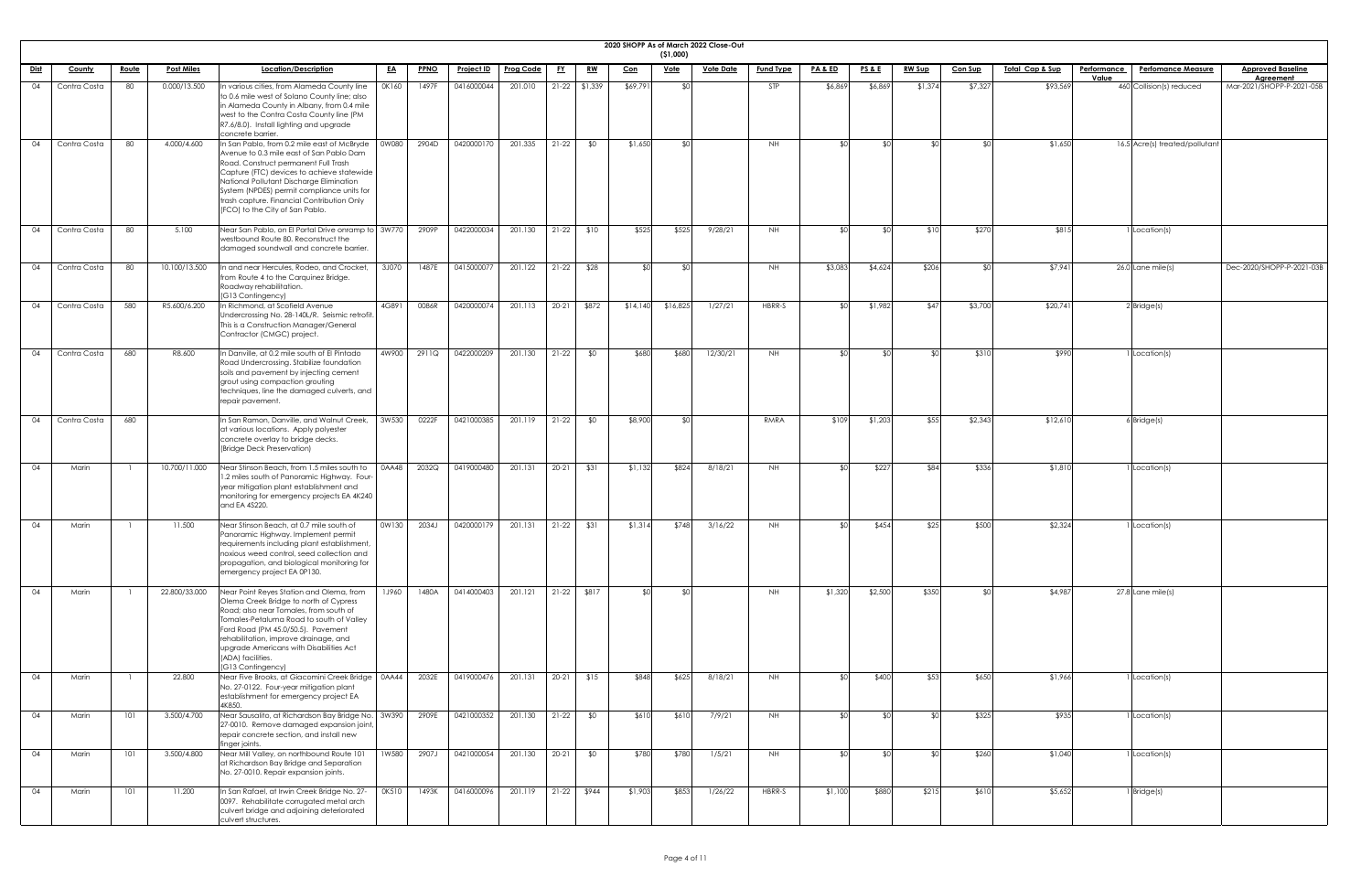|             | 2020 SHOPP As of March 2022 Close-Out |              |                   |                                                                                                                                                                                                                                                                                                                                                          |              |             |                   |                  |           |                 |            |             |                  |                  |                 |                 |               |                |                             |                             |                                |                                       |
|-------------|---------------------------------------|--------------|-------------------|----------------------------------------------------------------------------------------------------------------------------------------------------------------------------------------------------------------------------------------------------------------------------------------------------------------------------------------------------------|--------------|-------------|-------------------|------------------|-----------|-----------------|------------|-------------|------------------|------------------|-----------------|-----------------|---------------|----------------|-----------------------------|-----------------------------|--------------------------------|---------------------------------------|
|             |                                       |              |                   |                                                                                                                                                                                                                                                                                                                                                          |              |             |                   |                  |           |                 |            | (51,000)    |                  |                  |                 |                 |               |                |                             |                             |                                |                                       |
| <u>Dist</u> | County                                | <u>Route</u> | <b>Post Miles</b> | Location/Description                                                                                                                                                                                                                                                                                                                                     | <u>EA</u>    | <b>PPNO</b> | <u>Project ID</u> | <b>Prog Code</b> | <u>FY</u> | <u>RW</u>       | <u>Con</u> | <u>Vote</u> | <b>Vote Date</b> | <b>Fund Type</b> | PA&ED           | <b>PS&amp;E</b> | <b>RW Sup</b> | <b>Con Sup</b> | <u> Total Cap &amp; Sup</u> | <b>Performance</b><br>Value | <b>Perfomance Measure</b>      | <b>Approved Baseline</b><br>Agreement |
| 04          | Contra Costa                          | 80           | 0.000/13.500      | In various cities, from Alameda County line<br>to 0.6 mile west of Solano County line; also<br>in Alameda County in Albany, from 0.4 mile<br>west to the Contra Costa County line (PM<br>R7.6/8.0). Install lighting and upgrade<br>concrete barrier.                                                                                                    | OK160        | 1497F       | 0416000044        | 201.010          |           | $21-22$ \$1,339 | \$69,791   | <b>SO</b>   |                  | STP              | \$6,869         | \$6,869         | \$1,374       | \$7,327        | \$93,569                    |                             | 460 Collision(s) reduced       | Mar-2021/SHOPP-P-2021-05B             |
| 04          | Contra Costa                          | 80           | 4.000/4.600       | In San Pablo, from 0.2 mile east of McBryde<br>Avenue to 0.3 mile east of San Pablo Dam<br>Road. Construct permanent Full Trash<br>Capture (FTC) devices to achieve statewide<br>National Pollutant Discharge Elimination<br>System (NPDES) permit compliance units for<br>trash capture. Financial Contribution Only<br>(FCO) to the City of San Pablo. | 0W080        | 2904D       | 0420000170        | 201.335          | $21-22$   | \$0             | \$1,650    | \$0         |                  | NH.              | ታ ሮ             | ו∩\$            | ታ ሮ           | ¢Λ             | \$1,650                     |                             | 16.5 Acre(s) treated/pollutant |                                       |
| 04          | Contra Costa                          | 80           | 5.100             | Near San Pablo, on El Portal Drive onramp to 3W770<br>westbound Route 80. Reconstruct the<br>damaged soundwall and concrete barrier.                                                                                                                                                                                                                     |              | 2909P       | 0422000034        | 201.130          | $21-22$   | \$10            | \$525      | \$525       | 9/28/21          | NH.              |                 |                 | \$10          | \$270          | \$815                       |                             | 1 Location(s)                  |                                       |
| 04          | Contra Costa                          | 80           | 10.100/13.500     | In and near Hercules, Rodeo, and Crocket,<br>from Route 4 to the Carquinez Bridge.<br>Roadway rehabilitation.<br>(G13 Contingency)                                                                                                                                                                                                                       | 3J070        | 1487E       | 0415000077        | 201.122          | $21-22$   | \$28            |            | ו∩\$        |                  | NH               | \$3,083         | \$4,624         | \$206         |                | \$7,941                     |                             | 26.0 Lane mile(s)              | Dec-2020/SHOPP-P-2021-03B             |
| 04          | Contra Costa                          | 580          | R5.600/6.200      | In Richmond, at Scofield Avenue<br>Undercrossing No. 28-140L/R. Seismic retrofit<br>This is a Construction Manager/General<br>Contractor (CMGC) project.                                                                                                                                                                                                 | 4G891        | 0086R       | 0420000074        | 201.113          | $20 - 21$ | \$872           | \$14,140   | \$16,825    | 1/27/21          | HBRR-S           | <b>¢</b> Ր      | \$1,982         | \$47          | \$3,700        | \$20,741                    |                             | $2$ Bridge(s)                  |                                       |
| 04          | Contra Costa                          | 680          | R8.600            | In Danville, at 0.2 mile south of El Pintado<br>Road Undercrossing. Stabilize foundation<br>soils and pavement by injecting cement<br>grout using compaction grouting<br>techniques, line the damaged culverts, and<br>repair pavement.                                                                                                                  | 4W900        | 2911Q       | 0422000209        | 201.130          | $21-22$   | \$0             | \$680      | \$680       | 12/30/21         | NH               |                 | _⊄∩             | ¢Λ            | \$310          | \$990                       |                             | I Location(s)                  |                                       |
| 04          | Contra Costa                          | 680          |                   | In San Ramon, Danville, and Walnut Creek,<br>at various locations. Apply polyester<br>concrete overlay to bridge decks.<br>(Bridge Deck Preservation)                                                                                                                                                                                                    | 3W530        | 0222F       | 0421000385        | 201.119          | $21-22$   | \$0             | \$8,900    | \$0         |                  | RMRA             | \$109           | \$1,203         | \$55          | \$2,343        | \$12,610                    |                             | $6$ Bridge $(s)$               |                                       |
| 04          | Marin                                 |              | 10.700/11.000     | Near Stinson Beach, from 1.5 miles south to<br>1.2 miles south of Panoramic Highway. Four-<br>year mitigation plant establishment and<br>monitoring for emergency projects EA 4K240<br>and EA 4S220.                                                                                                                                                     | 0AA48        | 2032Q       | 0419000480        | 201.131          | $20-21$   | \$31            | \$1,132    | \$824       | 8/18/21          | <b>NH</b>        | $\mathbf{\Phi}$ | \$227           | \$84          | \$336          | \$1,81C                     |                             | 1 Location(s)                  |                                       |
| 04          | Marin                                 |              | 11.500            | Near Stinson Beach, at 0.7 mile south of<br>Panoramic Highway. Implement permit<br>requirements including plant establishment,<br>noxious weed control, seed collection and<br>propagation, and biological monitoring for<br>emergency project EA 0P130.                                                                                                 | 0W130        | 2034J       | 0420000179        | 201.131          | $21-22$   | \$31            | \$1,314    | \$748       | 3/16/22          | NH               |                 | \$454           | \$25          | \$500          | \$2,324                     |                             | I Location(s)                  |                                       |
| 04          | Marin                                 |              | 22.800/33.000     | Near Point Reyes Station and Olema, from<br>Olema Creek Bridge to north of Cypress<br>Road; also near Tomales, from south of<br>Tomales-Petaluma Road to south of Valley<br>Ford Road (PM 45.0/50.5). Pavement<br>rehabilitation, improve drainage, and<br>upgrade Americans with Disabilities Act<br>(ADA) facilities.<br>(G13 Contingency)             | <b>1J960</b> | 1480A       | 0414000403        | 201.121          |           | 21-22 \$817     | ≮∩I        | SOI.        |                  | NH               | \$1,320         | \$2,500         | \$350         | ደ∩∣            | \$4,987                     |                             | 27.8 Lane mile(s)              |                                       |
| 04          | Marin                                 |              | 22.800            | Near Five Brooks, at Giacomini Creek Bridge   0AA44<br>No. 27-0122. Four-year mitigation plant<br>establishment for emergency project EA<br>4K850                                                                                                                                                                                                        |              | 2032E       | 0419000476        | 201.131          | $20-21$   | \$15            | \$848      | \$625       | 8/18/21          | NH.              |                 | \$400           | \$53          | \$650          | \$1,966                     |                             | 1 Location(s)                  |                                       |
| 04          | Marin                                 | 101          | 3.500/4.700       | Near Sausalito, at Richardson Bay Bridge No.   3W390<br>27-0010. Remove damaged expansion joint,<br>repair concrete section, and install new<br>lfinger joints.                                                                                                                                                                                          |              | 2909E       | 0421000352        | 201.130          | $21-22$   | \$0             | \$610      | \$610       | 7/9/21           | <b>NH</b>        |                 | <b>SO</b>       |               | \$325          | \$935                       |                             | 1 Location(s)                  |                                       |
| 04          | Marin                                 | 101          | 3.500/4.800       | Near Mill Valley, on northbound Route 101<br>at Richardson Bay Bridge and Separation<br>No. 27-0010. Repair expansion joints.                                                                                                                                                                                                                            | 1W580        | 2907J       | 0421000054        | 201.130          | $20-21$   | \$0             | \$780      | \$780       | 1/5/21           | <b>NH</b>        |                 |                 |               | \$260          | \$1,040                     |                             | 1 Location(s)                  |                                       |
| 04          | Marin                                 | 101          | 11.200            | In San Rafael, at Irwin Creek Bridge No. 27-<br>0097. Rehabilitate corrugated metal arch<br>culvert bridge and adjoining deteriorated<br>culvert structures.                                                                                                                                                                                             | <b>OK510</b> | 1493K       | 0416000096        | 201.119          |           | $21-22$ \$944   | \$1,903    | \$853       | 1/26/22          | HBRR-S           | \$1,100         | \$880           | \$215         | \$610          | \$5,652                     |                             | $1$ Bridge(s)                  |                                       |

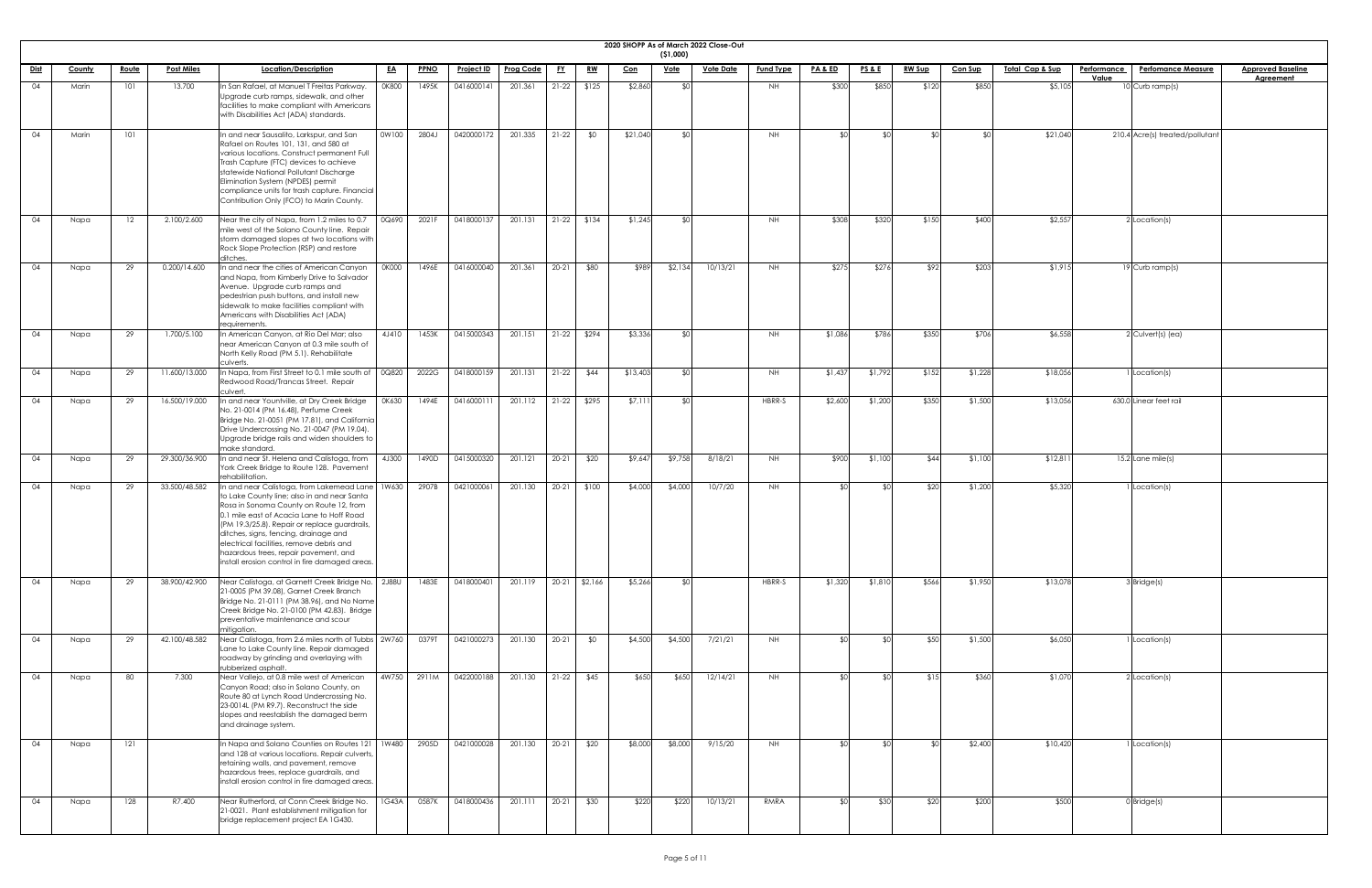| 20 | в<br>HOP!<br>۲μ. |
|----|------------------|

|             | 2020 SHOPP As of March 2022 Close-Out<br>( \$1,000) |              |                   |                                                                                                                                                                                                                                                                                                                                                                                                                          |           |             |                   |                  |           |               |          |             |                  |                  |                    |                 |               |                |                            |                                                 |                          |
|-------------|-----------------------------------------------------|--------------|-------------------|--------------------------------------------------------------------------------------------------------------------------------------------------------------------------------------------------------------------------------------------------------------------------------------------------------------------------------------------------------------------------------------------------------------------------|-----------|-------------|-------------------|------------------|-----------|---------------|----------|-------------|------------------|------------------|--------------------|-----------------|---------------|----------------|----------------------------|-------------------------------------------------|--------------------------|
| <u>Dist</u> | County                                              | <u>Route</u> | <b>Post Miles</b> | Location/Description                                                                                                                                                                                                                                                                                                                                                                                                     | <u>EA</u> | <b>PPNO</b> | <b>Project ID</b> | <b>Prog Code</b> | <u>FY</u> | <u>RW</u>     | $Con$    | <u>Vote</u> | <b>Vote Date</b> | <b>Fund Type</b> | <u>PA &amp; ED</u> | <b>PS&amp;E</b> | <b>RW Sup</b> | <b>Con Sup</b> | <u>Total Cap &amp; Sup</u> | <b>Performance</b><br><b>Perfomance Measure</b> | <b>Approved Baseline</b> |
|             |                                                     | 101          |                   | In San Rafael, at Manuel T Freitas Parkway.                                                                                                                                                                                                                                                                                                                                                                              | 0K800     | 1495K       | 0416000141        | 201.361          | $21-22$   | \$125         | \$2,860  |             |                  |                  | \$300              | \$850           | \$120         |                |                            | Value<br>10 Curb ramp(s)                        | <b>Agreement</b>         |
| 04          | Marin                                               |              | 13.700            | Upgrade curb ramps, sidewalk, and other<br>facilities to make compliant with Americans<br>with Disabilities Act (ADA) standards.                                                                                                                                                                                                                                                                                         |           |             |                   |                  |           |               |          |             |                  | NH .             |                    |                 |               | \$85C          | \$5,105                    |                                                 |                          |
| 04          | Marin                                               | 101          |                   | In and near Sausalito, Larkspur, and San<br>Rafael on Routes 101, 131, and 580 at<br>various locations. Construct permanent Full<br>Trash Capture (FTC) devices to achieve<br>statewide National Pollutant Discharge<br>Elimination System (NPDES) permit<br>compliance units for trash capture. Financial<br>Contribution Only (FCO) to Marin County.                                                                   | 0W100     | 2804J       | 0420000172        | 201.335          | $21-22$   | \$0           | \$21,040 |             |                  | NH               | \$∩                |                 |               |                | \$21,040                   | 210.4 Acre(s) treated/pollutant                 |                          |
| 04          | Napa                                                | 12           | 2.100/2.600       | Near the city of Napa, from 1.2 miles to 0.7<br>mile west of the Solano County line. Repair<br>storm damaged slopes at two locations with<br>Rock Slope Protection (RSP) and restore<br>ditches.                                                                                                                                                                                                                         | 0Q690     | 2021F       | 0418000137        | 201.131          | $21-22$   | \$134         | \$1,245  |             |                  | NH               | \$308              | \$320           | \$150         | \$400          | \$2,557                    | 2 Location(s)                                   |                          |
| 04          | Napa                                                | 29           | 0.200/14.600      | In and near the cities of American Canyon<br>and Napa, from Kimberly Drive to Salvador<br>Avenue. Upgrade curb ramps and<br>pedestrian push buttons, and install new<br>sidewalk to make facilities compliant with<br>Americans with Disabilities Act (ADA)<br>requirements.                                                                                                                                             | 0K000     | 1496E       | 0416000040        | 201.361          | $20 - 21$ | \$80          | \$989    | \$2,134     | 10/13/21         | NH .             | \$275              | \$276           | \$92          | \$203          | \$1,915                    | 19 Curb ramp(s)                                 |                          |
| 04          | Napa                                                | 29           | 1.700/5.100       | In American Canyon, at Rio Del Mar; also<br>near American Canyon at 0.3 mile south of<br>North Kelly Road (PM 5.1). Rehabilitate<br>culverts.                                                                                                                                                                                                                                                                            | 4J410     | 1453K       | 0415000343        | 201.151          | $21-22$   | \$294         | \$3,336  |             |                  | NH .             | \$1,086            | \$786           | \$350         | \$706          | \$6,558                    | $2$ Culvert(s) (ea)                             |                          |
| 04          | Napa                                                | 29           | 11.600/13.000     | In Napa, from First Street to 0.1 mile south of<br>Redwood Road/Trancas Street. Repair<br>culvert.                                                                                                                                                                                                                                                                                                                       | 0Q820     | 2022G       | 0418000159        | 201.131          | $21-22$   | \$44          | \$13,403 |             |                  | NH .             | \$1,437            | \$1,792         | \$152         | \$1,228        | \$18,056                   | I Location(s)                                   |                          |
| 04          | Napa                                                | 29           | 16.500/19.000     | In and near Yountville, at Dry Creek Bridge<br>No. 21-0014 (PM 16.48), Perfume Creek<br>Bridge No. 21-0051 (PM 17.81), and California<br>Drive Undercrossing No. 21-0047 (PM 19.04).<br>Upgrade bridge rails and widen shoulders to<br>make standard.                                                                                                                                                                    | 0K630     | 1494E       | 0416000111        | 201.112          |           | $21-22$ \$295 | \$7,111  |             |                  | HBRR-S           | \$2,600            | \$1,200         | \$350         | \$1,500        | \$13,056                   | 630.0 Linear feet rail                          |                          |
| 04          | Napa                                                | 29           | 29.300/36.900     | In and near St. Helena and Calistoga, from<br>York Creek Bridge to Route 128. Pavement<br>rehabilitation.                                                                                                                                                                                                                                                                                                                | 4J300     | 1490D       | 0415000320        | 201.121          | 20-21     | \$20          | \$9,64   | \$9,758     | 8/18/21          | NH.              | \$900              | \$1,100         | \$44          | \$1,100        | \$12,81                    | $15.2$ Lane mile(s)                             |                          |
| 04          | Napa                                                | 29           | 33.500/48.582     | In and near Calistoga, from Lakemead Lane   1W630<br>to Lake County line; also in and near Santa<br>Rosa in Sonoma County on Route 12, from<br>0.1 mile east of Acacia Lane to Hoff Road<br>(PM 19.3/25.8). Repair or replace guardrails<br>ditches, signs, fencing, drainage and<br>electrical facilities, remove debris and<br>hazardous trees, repair pavement, and<br>install erosion control in fire damaged areas. |           | 2907B       | 0421000061        | 201.130          | $20-21$   | \$100         | \$4,000  | \$4,000     | 10/7/20          | NH .             |                    |                 | \$20          | \$1,200        | \$5,320                    | I Location(s)                                   |                          |
| 04          | Napa                                                | 29           | 38.900/42.900     | Near Calistoga, at Garnett Creek Bridge No.   2J88U<br>21-0005 (PM 39.08), Garnet Creek Branch<br>Bridge No. 21-0111 (PM 38.96), and No Name<br>Creek Bridge No. 21-0100 (PM 42.83). Bridge<br>preventative maintenance and scour<br>mitigation.                                                                                                                                                                         |           | 1483E       | 0418000401        | 201.119          |           | 20-21 \$2,166 | \$5,266  |             |                  | HBRR-S           | \$1,320            | \$1,810         | \$566         | \$1,950        | \$13,078                   | 3 Bridge(s)                                     |                          |
| 04          | Napa                                                | 29           | 42.100/48.582     | Near Calistoga, from 2.6 miles north of Tubbs 2W760<br>Lane to Lake County line. Repair damaged<br>roadway by grinding and overlaying with<br>rubberized asphalt.                                                                                                                                                                                                                                                        |           | 0379T       | 0421000273        | 201.130          | $20-21$   | \$0           | \$4,500  | \$4,500     | 7/21/21          | NH .             |                    |                 | \$50          | \$1,500        | \$6,050                    | I Location(s)                                   |                          |
| 04          | Napa                                                | 80           | 7.300             | Near Vallejo, at 0.8 mile west of American<br>Canyon Road; also in Solano County, on<br>Route 80 at Lynch Road Undercrossing No.<br>23-0014L (PM R9.7). Reconstruct the side<br>slopes and reestablish the damaged berm<br>and drainage system.                                                                                                                                                                          | 4W750     | 2911M       | 0422000188        | 201.130          | $21-22$   | \$45          | \$650    | \$650       | 12/14/21         | NH.              | \$0                |                 | \$15          | \$360          | \$1,070                    | 2 Location(s)                                   |                          |
| 04          | Napa                                                | 121          |                   | In Napa and Solano Counties on Routes 121<br>and 128 at various locations. Repair culverts,<br>retaining walls, and pavement, remove<br>hazardous trees, replace guardrails, and<br>Install erosion control in fire damaged areas.                                                                                                                                                                                       | 1W480     | 2905D       | 0421000028        | 201.130          | $20-21$   | \$20          | \$8,000  | \$8,000     | 9/15/20          | <b>NH</b>        |                    |                 |               | \$2,400        | \$10,420                   | I Location(s)                                   |                          |
| 04          | Napa                                                | 128          | R7.400            | Near Rutherford, at Conn Creek Bridge No.<br>21-0021. Plant establishment mitigation for<br>bridge replacement project EA 1G430.                                                                                                                                                                                                                                                                                         | 1G43A     | 0587K       | 0418000436        | 201.111          | $20-21$   | \$30          | \$220    | \$220       | 10/13/21         | RMRA             | SOL.               | \$30            | \$20          | \$200          | \$500                      | $0$ Bridge $(s)$                                |                          |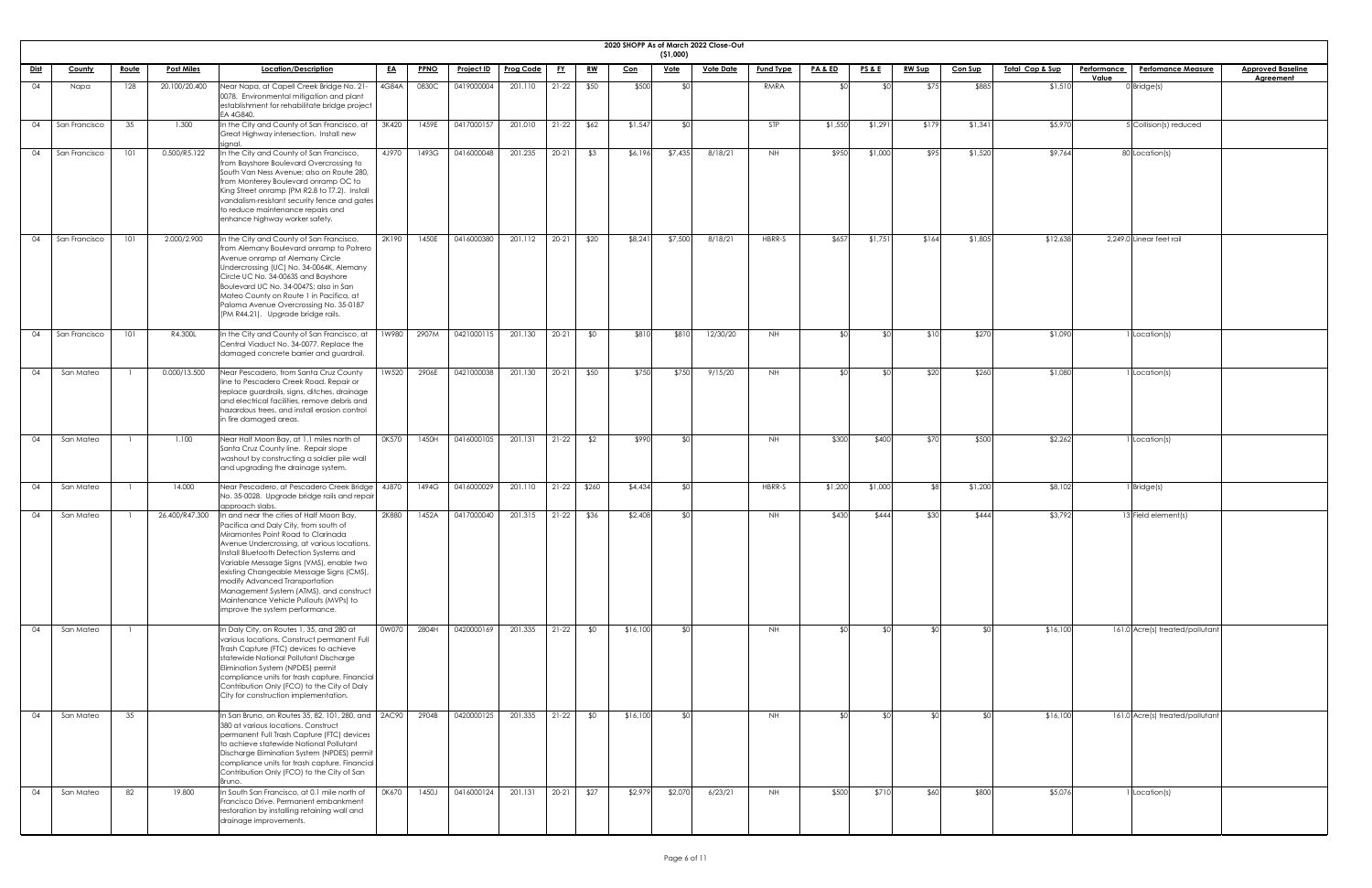|             | 2020 SHOPP As of March 2022 Close-Out |              |                   |                                                                                                                                                                                                                                                                                                                                                                                                                                                                     |           |             |                   |                  |           |           |            |             |                  |                  |                    |                 |               |                |                            |                    |                                 |                          |
|-------------|---------------------------------------|--------------|-------------------|---------------------------------------------------------------------------------------------------------------------------------------------------------------------------------------------------------------------------------------------------------------------------------------------------------------------------------------------------------------------------------------------------------------------------------------------------------------------|-----------|-------------|-------------------|------------------|-----------|-----------|------------|-------------|------------------|------------------|--------------------|-----------------|---------------|----------------|----------------------------|--------------------|---------------------------------|--------------------------|
|             |                                       |              | <b>Post Miles</b> | Location/Description                                                                                                                                                                                                                                                                                                                                                                                                                                                |           |             |                   | <b>Prog Code</b> |           |           |            | (51,000)    | <b>Vote Date</b> | <b>Fund Type</b> | <u>PA &amp; ED</u> |                 |               |                | <u>Total Cap &amp; Sup</u> | <b>Performance</b> | <b>Perfomance Measure</b>       | <b>Approved Baseline</b> |
| <u>Dist</u> | <b>County</b>                         | <u>Route</u> |                   |                                                                                                                                                                                                                                                                                                                                                                                                                                                                     | <u>EA</u> | <b>PPNO</b> | <u>Project ID</u> |                  | <u>FY</u> | <u>RW</u> | <u>Con</u> | <u>Vote</u> |                  |                  |                    | <b>PS&amp;E</b> | <u>RW Sup</u> | <u>Con Sup</u> |                            | Value              |                                 | <b>Agreement</b>         |
| 04          | Napa                                  | 128          | 20.100/20.400     | Near Napa, at Capell Creek Bridge No. 21-<br>0078. Environmental mitigation and plant<br>establishment for rehabilitate bridge project<br>EA 4G840.                                                                                                                                                                                                                                                                                                                 | 4G84A     | 0830C       | 0419000004        | 201.110          | $21-22$   | \$50      | \$500      | <b>SO</b>   |                  | RMRA             |                    |                 | \$7           | \$885          | \$1,510                    |                    | $0$ Bridge(s)                   |                          |
| 04          | San Francisco                         | 35           | 1.300             | In the City and County of San Francisco, at<br>Great Highway intersection. Install new<br>signal.                                                                                                                                                                                                                                                                                                                                                                   | 3K420     | 1459E       | 0417000157        | 201.010          | $21-22$   | \$62      | \$1,547    | ፋስ          |                  | <b>STP</b>       | \$1,550            | \$1,291         | \$179         | \$1,34         | \$5,970                    |                    | 5 Collision(s) reduced          |                          |
| 04          | San Francisco                         | 101          | 0.500/R5.122      | In the City and County of San Francisco,<br>from Bayshore Boulevard Overcrossing to<br>South Van Ness Avenue; also on Route 280,<br>from Monterey Boulevard onramp OC to<br>King Street onramp (PM R2.8 to T7.2). Install<br>vandalism-resistant security fence and gates<br>to reduce maintenance repairs and<br>enhance highway worker safety.                                                                                                                    | 4J970     | 1493G       | 0416000048        | 201.235          | $20 - 21$ | \$3       | \$6,196    | \$7,435     | 8/18/21          | <b>NH</b>        | \$950              | \$1,000         | \$95          | \$1,520        | \$9,764                    |                    | 80 Location(s)                  |                          |
| 04          | San Francisco                         | 101          | 2.000/2.900       | In the City and County of San Francisco,<br>from Alemany Boulevard onramp to Potrero<br>Avenue onramp at Alemany Circle<br>Undercrossing (UC) No. 34-0064K, Alemany<br>Circle UC No. 34-0063S and Bayshore<br>Boulevard UC No. 34-0047S; also in San<br>Mateo County on Route 1 in Pacifica, at<br>Paloma Avenue Overcrossing No. 35-0187<br>(PM R44.21). Upgrade bridge rails.                                                                                     | 2K190     | 1450E       | 0416000380        | 201.112          | $20 - 21$ | \$20      | \$8,241    | \$7,500     | 8/18/21          | HBRR-S           | \$657              | \$1,751         | \$164         | \$1,805        | \$12,638                   |                    | 2,249.0 Linear feet rail        |                          |
| 04          | San Francisco                         | 101          | R4.300L           | In the City and County of San Francisco, at<br>Central Viaduct No. 34-0077. Replace the<br>damaged concrete barrier and guardrail.                                                                                                                                                                                                                                                                                                                                  | 1W980     | 2907M       | 0421000115        | 201.130          | $20 - 21$ | \$0       | \$81C      | \$810       | 12/30/20         | NH               | \$∩                | ו∩¢             |               | \$270          | \$1,090                    |                    | 1 Location(s)                   |                          |
| 04          | San Mateo                             |              | 0.000/13.500      | Near Pescadero, from Santa Cruz County<br>line to Pescadero Creek Road. Repair or<br>replace guardrails, signs, ditches, drainage<br>and electrical facilities, remove debris and<br>hazardous trees, and install erosion control<br>in fire damaged areas.                                                                                                                                                                                                         | 1W520     | 2906E       | 0421000038        | 201.130          | $20 - 21$ | \$50      | \$750      | \$750       | 9/15/20          | <b>NH</b>        | SO                 | <b>\$0</b>      | \$20          | \$260          | \$1,080                    |                    | Location(s)                     |                          |
| 04          | San Mateo                             |              | 1.100             | Near Half Moon Bay, at 1.1 miles north of<br>Santa Cruz County line. Repair slope<br>washout by constructing a soldier pile wall<br>and upgrading the drainage system.                                                                                                                                                                                                                                                                                              | 0K570     | 1450H       | 0416000105        | 201.131          | $21-22$   | \$2       | \$990      | \$0         |                  | NH               | \$300              | \$400           | \$70          | \$500          | \$2,262                    |                    | <sup>1</sup> Location(s)        |                          |
| 04          | San Mateo                             |              | 14.000            | Near Pescadero, at Pescadero Creek Bridge   4J870<br>No. 35-0028. Upgrade bridge rails and repair<br>approach slabs.                                                                                                                                                                                                                                                                                                                                                |           | 1494G       | 0416000029        | 201.110          | $21-22$   | \$260     | \$4,434    | \$0         |                  | HBRR-S           | \$1,200            | \$1,000         |               | \$1,200        | \$8,102                    |                    | 1 Bridge(s)                     |                          |
| 04          | San Mateo                             |              | 26.400/R47.300    | In and near the cities of Half Moon Bay,<br>Pacifica and Daly City, from south of<br>Miramontes Point Road to Clarinada<br>Avenue Undercrossing, at various locations.<br>Install Bluetooth Detection Systems and<br>Variable Message Signs (VMS), enable two<br>existing Changeable Message Signs (CMS),<br>modify Advanced Transportation<br>Management System (ATMS), and construct<br>Maintenance Vehicle Pullouts (MVPs) to<br>improve the system performance. | 2K880     | 1452A       | 0417000040        | 201.315          | $21-22$   | \$36      | \$2,408    | <b>RO</b>   |                  | NH               | \$430              | \$444           | \$30          | \$444          | \$3,792                    |                    | 13 Field element(s)             |                          |
| 04          | San Mateo                             |              |                   | In Daly City, on Routes 1, 35, and 280 at<br>various locations. Construct permanent Full<br>Trash Capture (FTC) devices to achieve<br>statewide National Pollutant Discharge<br>Elimination System (NPDES) permit<br>compliance units for trash capture. Financial<br>Contribution Only (FCO) to the City of Daly<br>City for construction implementation.                                                                                                          | 0W070     | 2804H       | 0420000169        | 201.335          | $21-22$   | \$0       | \$16,100   | SO          |                  | NH               | ≮∩                 | $\mathfrak{C}$  |               |                | \$16,100                   |                    | 161.0 Acre(s) treated/pollutant |                          |
| 04          | San Mateo                             | 35           |                   | In San Bruno, on Routes 35, 82, 101, 280, and   2AC90   2904B<br>380 at various locations. Construct<br>permanent Full Trash Capture (FTC) devices<br>to achieve statewide National Pollutant<br>Discharge Elimination System (NPDES) permit<br>compliance units for trash capture. Financial<br>Contribution Only (FCO) to the City of San<br>Bruno.                                                                                                               |           |             | 0420000125        | 201.335          | $21-22$   | \$0       | \$16,100   | \$0         |                  | <b>NH</b>        | SOI                | ו∩≯             |               |                | \$16,100                   |                    | 161.0 Acre(s) treated/pollutant |                          |
| 04          | San Mateo                             | 82           | 19.800            | In South San Francisco, at 0.1 mile north of<br>Francisco Drive. Permanent embankment<br>restoration by installing retaining wall and<br>drainage improvements.                                                                                                                                                                                                                                                                                                     | 0K670     | 1450J       | 0416000124        | 201.131          | $20 - 21$ | \$27      | \$2,979    | \$2,070     | 6/23/21          | <b>NH</b>        | \$500              | \$710           | \$60          | \$800          | \$5,076                    |                    | Location(s)                     |                          |

| eline    |  |
|----------|--|
| <u>t</u> |  |
|          |  |
|          |  |
|          |  |
|          |  |
|          |  |
|          |  |
|          |  |
|          |  |
|          |  |
|          |  |
|          |  |
|          |  |
|          |  |
|          |  |
|          |  |
|          |  |
|          |  |
|          |  |
|          |  |
|          |  |
|          |  |
|          |  |
|          |  |
|          |  |
|          |  |
|          |  |
|          |  |
|          |  |
|          |  |
|          |  |
|          |  |
|          |  |
|          |  |
|          |  |
|          |  |
|          |  |
|          |  |
|          |  |
|          |  |
|          |  |
|          |  |
|          |  |
|          |  |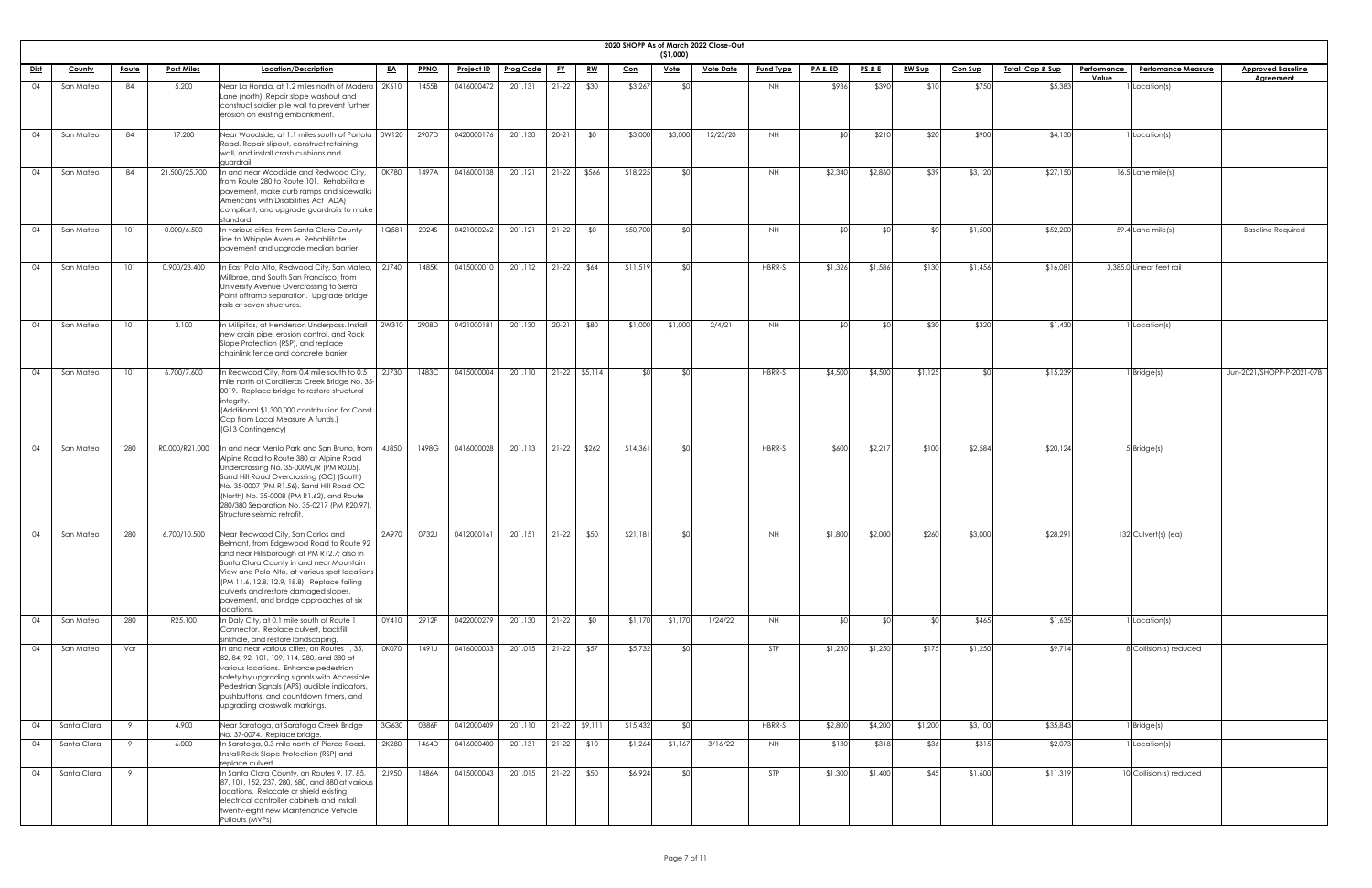| 2020 SHOPP |
|------------|

|             |             |              |                   |                                                                                                                                                                                                                                                                                                                                                                        |           |             |                   |                  |           |                 |            | ( \$1,000)  | 2020 SHOPP As of March 2022 Close-Out |                  |                    |                 |               |                |                 |                                          |                           |
|-------------|-------------|--------------|-------------------|------------------------------------------------------------------------------------------------------------------------------------------------------------------------------------------------------------------------------------------------------------------------------------------------------------------------------------------------------------------------|-----------|-------------|-------------------|------------------|-----------|-----------------|------------|-------------|---------------------------------------|------------------|--------------------|-----------------|---------------|----------------|-----------------|------------------------------------------|---------------------------|
| <u>Dist</u> | County      | <u>Route</u> | <b>Post Miles</b> | Location/Description                                                                                                                                                                                                                                                                                                                                                   | <u>EA</u> | <b>PPNO</b> | <b>Project ID</b> | <b>Prog Code</b> | <u>FY</u> | <u>RW</u>       | <u>Con</u> | <u>Vote</u> | <b>Vote Date</b>                      | <b>Fund Type</b> | <u>PA &amp; ED</u> | <u>PS&amp;E</u> | <u>RW Sup</u> | <b>Con Sup</b> | Total Cap & Sup | <b>Perfomance Measure</b><br>Performance | <b>Approved Baseline</b>  |
|             |             |              |                   |                                                                                                                                                                                                                                                                                                                                                                        |           |             |                   |                  |           |                 |            | ו∩≯         |                                       |                  |                    |                 |               |                |                 | Value                                    | Agreement                 |
| 04          | San Mateo   | 84           | 5.200             | Near La Honda, at 1.2 miles north of Madera   2K610<br>Lane (north). Repair slope washout and<br>construct soldier pile wall to prevent further<br>erosion on existing embankment.                                                                                                                                                                                     |           | 1455B       | 0416000472        | 201.131          | $21-22$   | \$30            | \$3,267    |             |                                       | NH               | \$936              | \$390           | \$10          | \$750          | \$5,383         | Location(s)                              |                           |
| 04          | San Mateo   | 84           | 17.200            | Near Woodside, at 1.1 miles south of Portola   0W120<br>Road. Repair slipout, construct retaining<br>wall, and install crash cushions and<br>guardrail.                                                                                                                                                                                                                |           | 2907D       | 0420000176        | 201.130          | $20 - 21$ | \$0             | \$3,000    | \$3,000     | 12/23/20                              | NH               | ¢∩l                | \$21C           | \$20          | \$900          | \$4,130         | Location(s)                              |                           |
| 04          | San Mateo   | 84           | 21.500/25.700     | In and near Woodside and Redwood City,<br>from Route 280 to Route 101. Rehabilitate<br>pavement, make curb ramps and sidewalks<br>Americans with Disabilities Act (ADA)<br>compliant, and upgrade guardrails to make<br>standard.                                                                                                                                      | 0K780     | 1497A       | 0416000138        | 201.121          | $21-22$   | \$566           | \$18,225   | י∩\$        |                                       | NH               | \$2,340            | \$2,860         | \$39          | \$3,120        | \$27,150        | $16.5$ Lane mile(s)                      |                           |
| -04         | San Mateo   | 101          | 0.000/6.500       | In various cities, from Santa Clara County<br>line to Whipple Avenue. Rehabilitate<br>pavement and upgrade median barrier.                                                                                                                                                                                                                                             | 1Q581     | 2024S       | 0421000262        | 201.121          | $21 - 22$ | \$0             | \$50,700   | <b>SO</b>   |                                       | NH               |                    |                 |               | \$1,500        | \$52,200        | 59.4 Lane mile(s)                        | <b>Baseline Required</b>  |
| 04          | San Mateo   | 101          | 0.900/23.400      | In East Palo Alto, Redwood City, San Mateo,<br>Millbrae, and South San Francisco, from<br>University Avenue Overcrossing to Sierra<br>Point offramp separation. Upgrade bridge<br>rails at seven structures.                                                                                                                                                           | 2J740     | 1485K       | 0415000010        | 201.112          | $21-22$   | \$64            | \$11,519   | \$0         |                                       | HBRR-S           | \$1,326            | \$1,586         | \$130         | \$1,456        | \$16,08         | 3,385.0 Linear feet rail                 |                           |
| 04          | San Mateo   | 101          | 3.100             | In Milipitas, at Henderson Underpass. Install<br>new drain pipe, erosion control, and Rock<br>Slope Protection (RSP), and replace<br>chainlink fence and concrete barrier.                                                                                                                                                                                             | 2W310     | 2908D       | 0421000181        | 201.130          | $20 - 21$ | \$80            | \$1,000    | \$1,000     | 2/4/21                                | NH.              | ¢Λ                 |                 | \$30          | \$320          | \$1,430         | Location(s)                              |                           |
| 04          | San Mateo   | 101          | 6.700/7.600       | In Redwood City, from 0.4 mile south to 0.5<br>mile north of Cordilleras Creek Bridge No. 35-<br>0019. Replace bridge to restore structural<br>lintegrity.<br>(Additional \$1,300,000 contribution for Const<br>Cap from Local Measure A funds.)<br>(G13 Contingency)                                                                                                  | 2J730     | 1483C       | 0415000004        | 201.110          |           | $21-22$ \$5,114 | ≮∩I        | \$0         |                                       | HBRR-S           | \$4,500            | \$4,500         | \$1,125       |                | \$15,239        | Bridge(s)                                | Jun-2021/SHOPP-P-2021-07B |
| 04          | San Mateo   | 280          | R0.000/R21.000    | In and near Menlo Park and San Bruno, from<br>Alpine Road to Route 380 at Alpine Road<br>Undercrossing No. 35-0009L/R (PM R0.05),<br>Sand Hill Road Overcrossing (OC) (South)<br>No. 35-0007 (PM R1.56), Sand Hill Road OC<br>(North) No. 35-0008 (PM R1.62), and Route<br>280/380 Separation No. 35-0217 (PM R20.97).<br>Structure seismic retrofit.                  | 4J850     | 1498G       | 0416000028        | 201.113          | $21-22$   | \$262           | \$14,361   | <b>\$01</b> |                                       | HBRR-S           | \$600              | \$2,217         | \$100         | \$2,584        | \$20,124        | 5 Bridge(s)                              |                           |
| 04          | San Mateo   | 280          | 6.700/10.500      | Near Redwood City, San Carlos and<br>Belmont, from Edgewood Road to Route 92<br>and near Hillsborough at PM R12.7; also in<br>Santa Clara County in and near Mountain<br>View and Palo Alto, at various spot locations<br>(PM 11.6, 12.8, 12.9, 18.8). Replace failing<br>culverts and restore damaged slopes,<br>pavement, and bridge approaches at six<br>locations. | 2A970     | 0732J       | 0412000161        | 201.151          | $21-22$   | \$50            | \$21,181   | - SOI       |                                       | NH               | \$1,800            | \$2,000         | \$260         | \$3,000        | \$28,29         | 132 Culvert(s) (ea)                      |                           |
| 04          | San Mateo   | 280          | R25.100           | In Daly City, at 0.1 mile south of Route 1<br>Connector. Replace culvert, backfill<br>sinkhole, and restore landscaping.                                                                                                                                                                                                                                               | 0Y410     | 2912F       | 0422000279        | 201.130          | $21-22$   | \$0             | \$1,170    | \$1,170     | 1/24/22                               | NH               |                    |                 |               | \$465          | \$1,635         | Location(s)                              |                           |
| 04          | San Mateo   | Var          |                   | In and near various cities, on Routes 1, 35,<br>82, 84, 92, 101, 109, 114, 280, and 380 at<br>various locations. Enhance pedestrian<br>safety by upgrading signals with Accessible<br>Pedestrian Signals (APS) audible indicators,<br>pushbuttons, and countdown timers, and<br>upgrading crosswalk markings.                                                          | 0K070     | 1491J       | 0416000033        | 201.015          | $21-22$   | \$57            | \$5,732    | ו∩\$        |                                       | STP              | \$1,250            | \$1,250         | \$175         | \$1,250        | \$9,714         | 8 Collision(s) reduced                   |                           |
| 04          | Santa Clara | - 9          | 4.900             | Near Saratoga, at Saratoga Creek Bridge<br>No. 37-0074. Replace bridge.                                                                                                                                                                                                                                                                                                | 3G630     | 0386F       | 0412000409        | 201.110          |           | $21-22$ \$9,111 | \$15,432   | \$0         |                                       | HBRR-S           | \$2,800            | \$4,200         | \$1,200       | \$3,100        | \$35,843        | Bridge(s)                                |                           |
| 04          | Santa Clara | -9           | 6.000             | In Saratoga, 0.3 mile north of Pierce Road.<br>Install Rock Slope Protection (RSP) and<br>replace culvert.                                                                                                                                                                                                                                                             | 2K280     | 1464D       | 0416000400        | 201.131          |           | $21-22$ \$10    | \$1,264    | \$1,167     | 3/16/22                               | NH               | \$130              | \$318           | \$36          | \$315          | \$2,073         | Location(s)                              |                           |
| 04          | Santa Clara | 9            |                   | In Santa Clara County, on Routes 9, 17, 85,<br>87, 101, 152, 237, 280, 680, and 880 at various<br>locations. Relocate or shield existing<br>electrical controller cabinets and install<br>twenty-eight new Maintenance Vehicle<br>Pullouts (MVPs).                                                                                                                     | 2J950     | 1486A       | 0415000043        | 201.015          | $21-22$   | \$50            | \$6,924    | SO.         |                                       | STP              | \$1,300            | \$1,400         | \$45          | \$1,600        | \$11,319        | 10 Collision(s) reduced                  |                           |

| <u>eline</u><br>ıt.     |
|-------------------------|
|                         |
|                         |
|                         |
|                         |
|                         |
|                         |
|                         |
|                         |
| $\frac{1}{\text{ired}}$ |
|                         |
|                         |
|                         |
|                         |
|                         |
|                         |
| $-2021 - 07B$           |
|                         |
|                         |
|                         |
|                         |
|                         |
|                         |
|                         |
|                         |
|                         |
|                         |
|                         |
|                         |
|                         |
|                         |
|                         |
|                         |
|                         |
|                         |
|                         |
|                         |
|                         |
|                         |
|                         |
|                         |
|                         |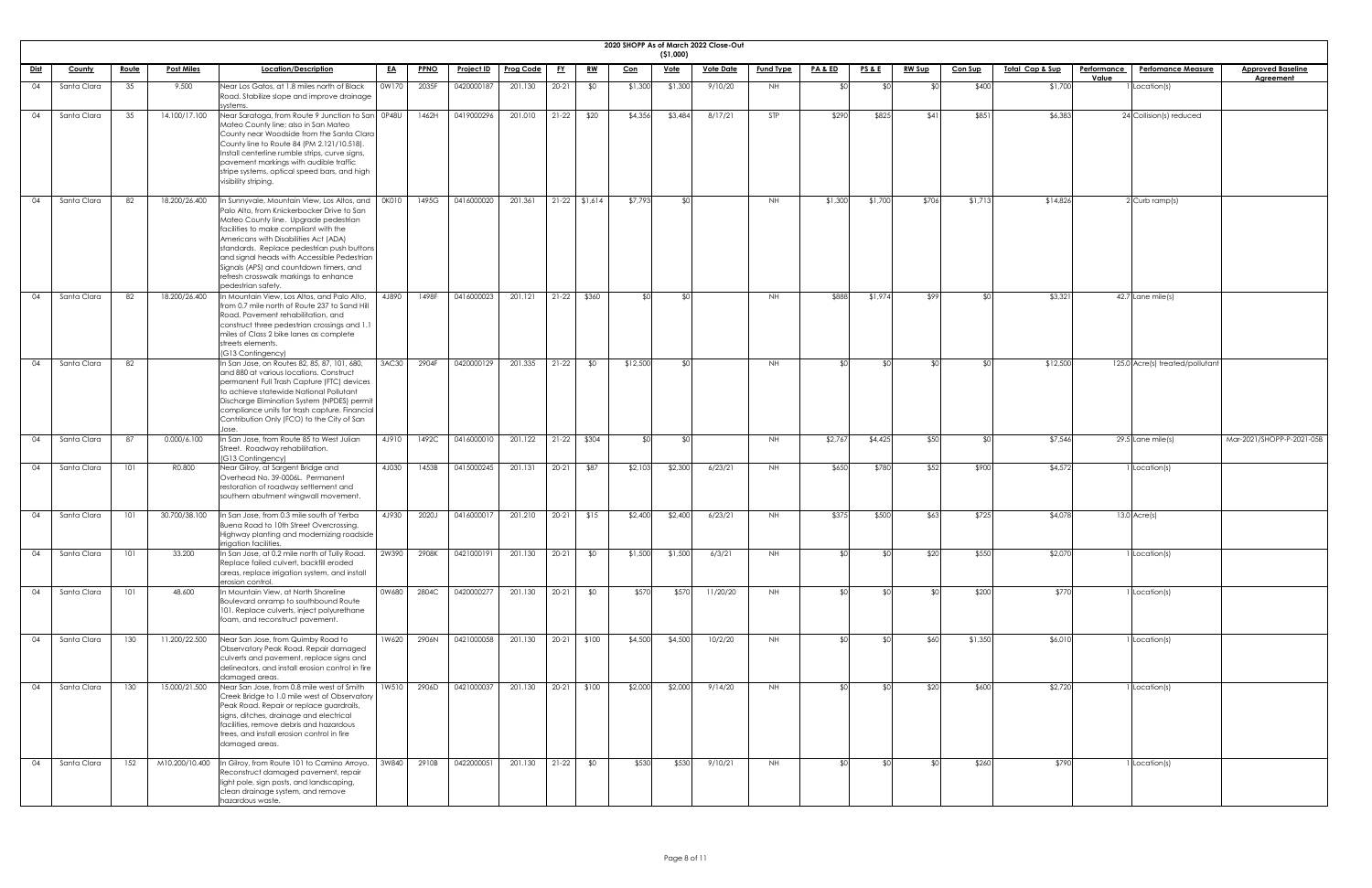|             |               |              |                   |                                                                                                                                                                                                                                                                                                                                                                                                                             |              |             |                                    |                         |           |                 |            |                 | 2020 SHOPP As of March 2022 Close-Out |                  |                    |                 |               |                |                             |                             |                                 |                                              |
|-------------|---------------|--------------|-------------------|-----------------------------------------------------------------------------------------------------------------------------------------------------------------------------------------------------------------------------------------------------------------------------------------------------------------------------------------------------------------------------------------------------------------------------|--------------|-------------|------------------------------------|-------------------------|-----------|-----------------|------------|-----------------|---------------------------------------|------------------|--------------------|-----------------|---------------|----------------|-----------------------------|-----------------------------|---------------------------------|----------------------------------------------|
|             |               |              |                   |                                                                                                                                                                                                                                                                                                                                                                                                                             |              |             |                                    |                         |           |                 |            | (51,000)        |                                       |                  |                    |                 |               |                |                             |                             |                                 |                                              |
| <u>Dist</u> | <u>County</u> | <u>Route</u> | <b>Post Miles</b> | Location/Description                                                                                                                                                                                                                                                                                                                                                                                                        | <u>EA</u>    | <b>PPNO</b> | <u>Project ID</u>                  | <b>Prog Code</b>        | <u>FY</u> | <u>RW</u>       | <u>Con</u> | <u>Vote</u>     | <u>Vote Date</u>                      | <b>Fund Type</b> | <b>PA &amp; ED</b> | <u>PS&amp;E</u> | <u>RW Sup</u> | <b>Con Sup</b> | <u> Total Cap &amp; Sup</u> | <b>Performance</b><br>Value | <b>Perfomance Measure</b>       | <b>Approved Baseline</b><br><b>Agreement</b> |
| 04          | Santa Clara   | 35           | 9.500             | Near Los Gatos, at 1.8 miles north of Black<br>Road. Stabilize slope and improve drainage<br>systems.                                                                                                                                                                                                                                                                                                                       | 0W170        | 2035F       | 0420000187                         | 201.130                 | $20 - 21$ | \$0             | \$1,300    | \$1,300         | 9/10/20                               | NH               |                    |                 |               | \$400          | \$1,700                     |                             | I Location(s)                   |                                              |
| 04          | Santa Clara   | 35           | 14.100/17.100     | Near Saratoga, from Route 9 Junction to San 0P48U<br>Mateo County line; also in San Mateo<br>County near Woodside from the Santa Clara<br>County line to Route 84 (PM 2.121/10.518).<br>Install centerline rumble strips, curve signs,<br>pavement markings with audible traffic<br>stripe systems, optical speed bars, and high<br>visibility striping.                                                                    |              | 1462H       | 0419000296                         | 201.010                 | $21-22$   | \$20            | \$4,356    | \$3,484         | 8/17/21                               | STP              | \$290              | \$825           | \$41          | \$851          | \$6,383                     |                             | 24 Collision(s) reduced         |                                              |
| 04          | Santa Clara   | 82           | 18.200/26.400     | In Sunnyvale, Mountain View, Los Altos, and<br>Palo Alto, from Knickerbocker Drive to San<br>Mateo County line. Upgrade pedestrian<br>facilities to make compliant with the<br>Americans with Disabilities Act (ADA)<br>standards. Replace pedestrian push buttons<br>and signal heads with Accessible Pedestrian<br>Signals (APS) and countdown timers, and<br>refresh crosswalk markings to enhance<br>pedestrian safety. | <b>OKO10</b> | 1495G       | 0416000020                         | 201.361                 |           | $21-22$ \$1,614 | \$7,793    | SOI.            |                                       | NH               | \$1,300            | \$1,700         | \$706         | \$1,713        | \$14,826                    |                             | 2 Curb ramp(s)                  |                                              |
| 04          | Santa Clara   | 82           | 18.200/26.400     | In Mountain View, Los Altos, and Palo Alto,<br>from 0.7 mile north of Route 237 to Sand Hill<br>Road. Pavement rehabilitation, and<br>construct three pedestrian crossings and 1.<br>miles of Class 2 bike lanes as complete<br>streets elements.<br>(G13 Contingency)                                                                                                                                                      | 4J890        | 1498F       | 0416000023                         | 201.121                 | $21-22$   | \$360           | ≮∩∣        | SO <sub>1</sub> |                                       | <b>NH</b>        | \$888              | \$1,974         | \$99          | ⊄∩l            | \$3,321                     |                             | $42.7$ Lane mile(s)             |                                              |
|             | Santa Clara   | 82           |                   | In San Jose, on Routes 82, 85, 87, 101, 680,<br>and 880 at various locations. Construct<br>permanent Full Trash Capture (FTC) devices<br>to achieve statewide National Pollutant<br>Discharge Elimination System (NPDES) permit<br>compliance units for trash capture. Financial<br>Contribution Only (FCO) to the City of San                                                                                              | 3AC30        | 2904F       | 0420000129   201.335   21-22   \$0 |                         |           |                 | \$12,500   |                 |                                       | NΗ               |                    |                 |               |                | \$12,500                    |                             | 125.0 Acre(s) treated/pollutant |                                              |
| 04          | Santa Clara   | 87           | 0.000/6.100       | n San Jose, from Route 85 to West Julian<br>Street. Roadway rehabilitation.<br>(G13 Contingency)                                                                                                                                                                                                                                                                                                                            | 4J910        | 1492C       | 0416000010                         | 201.122                 |           | $21-22$ \$304   |            | ደበ              |                                       | NH.              | \$2,767            | \$4,425         | \$50          |                | \$7,546                     |                             | $29.5$ Lane mile(s)             | Mar-2021/SHOPP-P-2021-05B                    |
| 04          | Santa Clara   | 101          | R0.800            | Near Gilroy, at Sargent Bridge and<br>Overhead No. 39-0006L. Permanent<br>restoration of roadway settlement and<br>southern abutment wingwall movement.                                                                                                                                                                                                                                                                     | 4J030        | 1453B       | 0415000245                         | 201.131                 | $20-21$   | \$87            | \$2,103    | \$2,300         | 6/23/21                               | NH               | \$650              | \$780           | \$52          | \$900          | \$4,572                     |                             | 1 Location(s)                   |                                              |
| 04          | Santa Clara   | 101          | 30.700/38.100     | In San Jose, from 0.3 mile south of Yerba<br>Buena Road to 10th Street Overcrossing.<br>Highway planting and modernizing roadside<br>irrigation facilities.                                                                                                                                                                                                                                                                 | 4J930        | 2020J       | 0416000017                         | 201.210                 | $20-21$   | \$15            | \$2,400    | \$2,400         | 6/23/21                               | NH               | \$375              | \$500           | \$63          | \$725          | \$4,078                     |                             | $13.0$ Acre(s)                  |                                              |
| 04          | Santa Clara   | 101          | 33.200            | In San Jose, at 0.2 mile north of Tully Road.<br>Replace failed culvert, backfill eroded<br>areas, replace irrigation system, and install<br>erosion control.                                                                                                                                                                                                                                                               | 2W390        | 2908K       | 0421000191                         | 201.130                 | $20 - 21$ | \$0             | \$1,500    | \$1,500         | 6/3/21                                | NH               |                    | ା∩≯             | \$20          | \$550          | \$2,070                     |                             | 1 Location(s)                   |                                              |
| 04          | Santa Clara   | 101          | 48.600            | In Mountain View, at North Shoreline<br>Boulevard onramp to southbound Route<br>101. Replace culverts, inject polyurethane<br>foam, and reconstruct pavement.                                                                                                                                                                                                                                                               | 0W680        | 2804C       | 0420000277                         | 201.130                 | $20-21$   | \$0             | \$570      | \$570           | 11/20/20                              | NH               |                    |                 |               | \$200          | \$770                       |                             | I Location(s)                   |                                              |
| 04          | Santa Clara   | 130          | 11.200/22.500     | Near San Jose, from Quimby Road to<br>Observatory Peak Road. Repair damaged<br>culverts and pavement, replace signs and<br>delineators, and install erosion control in fire<br>damaged areas.                                                                                                                                                                                                                               | 1W620        | 2906N       | 0421000058                         | 201.130                 | $20-21$   | \$100           | \$4,500    | \$4,500         | 10/2/20                               | NH               |                    | .  የጣ           | \$60          | \$1,350        | \$6,010                     |                             | I Location(s)                   |                                              |
| 04          | Santa Clara   | 130          | 15.000/21.500     | Near San Jose, from 0.8 mile west of Smith<br>Creek Bridge to 1.0 mile west of Observatory<br>Peak Road. Repair or replace guardrails,<br>signs, ditches, drainage and electrical<br>facilities, remove debris and hazardous<br>trees, and install erosion control in fire<br>damaged areas.                                                                                                                                | 1W510        | 2906D       | 0421000037                         | 201.130   20-21   \$100 |           |                 | \$2,000    | \$2,000         | 9/14/20                               | NH.              |                    |                 | \$20          | \$600          | \$2,720                     |                             | 1 Location(s)                   |                                              |
| 04          | Santa Clara   | 152          | M10.200/10.400    | In Gilroy, from Route 101 to Camino Arroyo.<br>Reconstruct damaged pavement, repair<br>light pole, sign posts, and landscaping,<br>clean drainage system, and remove<br>hazardous waste.                                                                                                                                                                                                                                    | 3W840        | 2910B       | 0422000051                         | 201.130                 | $21-22$   | \$0             | \$530      | \$530           | 9/10/21                               | NH               |                    |                 |               | \$260          | \$790                       |                             | I Location(s)                   |                                              |

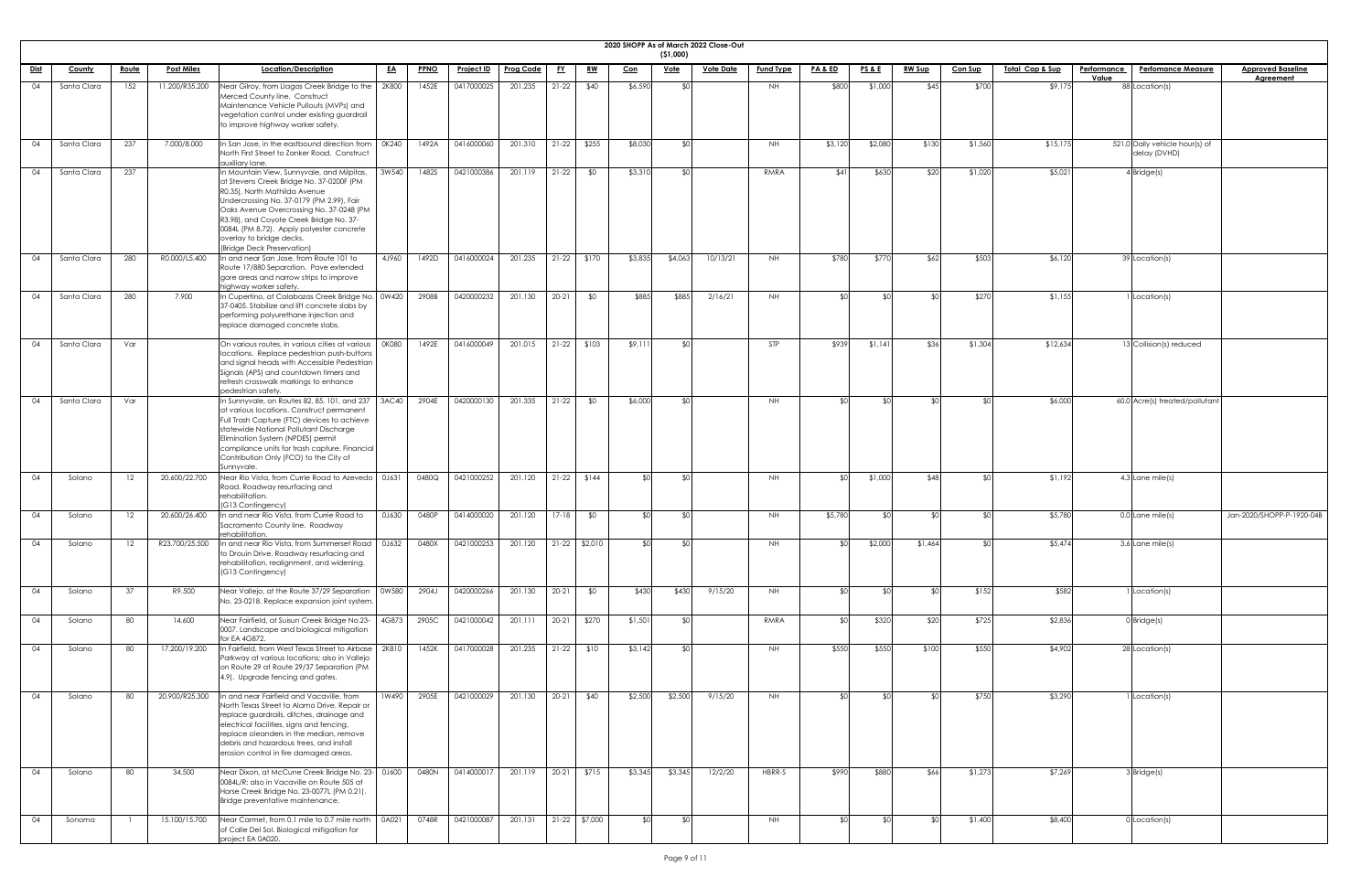|             |               |              |                   |                                                                                                                                                                                                                                                                                                                                                                    |              |             |                   |                  |           |                 |            | ( \$1,000)  | 2020 SHOPP As of March 2022 Close-Out |                  |                    |                 |               |                |                 |                                                |                           |
|-------------|---------------|--------------|-------------------|--------------------------------------------------------------------------------------------------------------------------------------------------------------------------------------------------------------------------------------------------------------------------------------------------------------------------------------------------------------------|--------------|-------------|-------------------|------------------|-----------|-----------------|------------|-------------|---------------------------------------|------------------|--------------------|-----------------|---------------|----------------|-----------------|------------------------------------------------|---------------------------|
| <u>Dist</u> | <b>County</b> | <u>Route</u> | <b>Post Miles</b> | Location/Description                                                                                                                                                                                                                                                                                                                                               | <u>EA</u>    | <b>PPNO</b> | <b>Project ID</b> | <b>Prog Code</b> | <u>FY</u> | <u>RW</u>       | <u>Con</u> | <u>Vote</u> | <b>Vote Date</b>                      | <b>Fund Type</b> | <b>PA &amp; ED</b> | <u>PS&amp;E</u> | <b>RW Sup</b> | <b>Con Sup</b> | Total Cap & Sup | Performance<br><b>Perfomance Measure</b>       | <b>Approved Baseline</b>  |
| 04          | Santa Clara   | 152          | 11.200/R35.200    | Near Gilroy, from Llagas Creek Bridge to the   2K800                                                                                                                                                                                                                                                                                                               |              | 1452E       | 0417000025        | 201.235          | $21-22$   | \$40            | \$6,590    |             |                                       | NH.              | \$800              | \$1,000         | \$45          | \$700          | \$9,175         | Value<br>88 Location(s)                        | <b>Agreement</b>          |
|             |               |              |                   | Merced County line. Construct<br>Maintenance Vehicle Pullouts (MVPs) and<br>vegetation control under existing guardrail<br>to improve highway worker safety.                                                                                                                                                                                                       |              |             |                   |                  |           |                 |            |             |                                       |                  |                    |                 |               |                |                 |                                                |                           |
| $\Omega$    | Santa Clara   | 237          | 7.000/8.000       | In San Jose, in the eastbound direction from $\mid$ 0K240<br>North First Street to Zanker Road. Construct<br>auxiliary lane.                                                                                                                                                                                                                                       |              | 1492A       | 0416000060        | 201.310          | $21-22$   | \$255           | \$8,030    | SO          |                                       | NH.              | \$3,120            | \$2,080         | \$130         | \$1,560        | \$15,175        | 521.0 Daily vehicle hour(s) of<br>delay (DVHD) |                           |
| 04          | Santa Clara   | 237          |                   | In Mountain View, Sunnyvale, and Milpitas,<br>at Stevens Creek Bridge No. 37-0200F (PM<br>R0.35), North Mathilda Avenue<br>Undercrossing No. 37-0179 (PM 2.99), Fair<br>Oaks Avenue Overcrossing No. 37-0248 (PM<br>R3.98), and Coyote Creek Bridge No. 37-<br>0084L (PM 8.72). Apply polyester concrete<br>overlay to bridge decks.<br>(Bridge Deck Preservation) | 3W540        | 1482S       | 0421000386        | 201.119          | $21-22$   | \$0             | \$3,310    | ו∩≯         |                                       | RMRA             | \$41               | \$630           | \$20          | \$1,020        | \$5,021         | $4$ Bridge $(s)$                               |                           |
| 04          | Santa Clara   | 280          | R0.000/L5.400     | In and near San Jose, from Route 101 to<br>Route 17/880 Separation. Pave extended<br>gore areas and narrow strips to improve<br>highway worker safety.                                                                                                                                                                                                             | 4J960        | 1492D       | 0416000024        | 201.235          |           | $21-22$ \$170   | \$3,835    | \$4,063     | 10/13/21                              | NH.              | \$780              | \$770           | \$62          | \$503          | \$6,120         | 39 Location(s)                                 |                           |
| 04          | Santa Clara   | 280          | 7.900             | In Cupertino, at Calabazas Creek Bridge No. 0W420<br>37-0405. Stabilize and lift concrete slabs by<br>performing polyurethane injection and<br>replace damaged concrete slabs.                                                                                                                                                                                     |              | 2908B       | 0420000232        | 201.130          | $20 - 21$ | \$0             | \$885      | \$885       | 2/16/21                               | NH.              |                    | _ ⊄Ր            |               | \$270          | \$1,155         | Location(s)                                    |                           |
| 04          | Santa Clara   | Var          |                   | On various routes, in various cities at various<br>locations. Replace pedestrian push-buttons<br>and signal heads with Accessible Pedestrian<br>Signals (APS) and countdown timers and<br>refresh crosswalk markings to enhance<br>pedestrian safety.                                                                                                              | <b>OK080</b> | 1492E       | 0416000049        | 201.015          |           | $21-22$ \$103   | \$9,11     | ו∩≯         |                                       | <b>STP</b>       | \$939              | \$1,141         | \$36          | \$1,304        | \$12,634        | $13$ Collision(s) reduced                      |                           |
| 04          | Santa Clara   | Var          |                   | In Sunnyvale, on Routes 82, 85, 101, and 237<br>at various locations. Construct permanent<br>Full Trash Capture (FTC) devices to achieve<br>statewide National Pollutant Discharge<br>Elimination System (NPDES) permit<br>compliance units for trash capture. Financial<br>Contribution Only (FCO) to the City of<br>Sunnyvale.                                   | 3AC40        | 2904E       | 0420000130        | 201.335          | $21-22$   | \$0             | \$6,000    | ו∩≯         |                                       | <b>NH</b>        |                    | _ ⊄             |               |                | \$6,000         | 60.0 Acre(s) treated/pollutant                 |                           |
| 04          | Solano        | 12           | 20.600/22.700     | Near Rio Vista, from Currie Road to Azevedo   0J631<br>Road. Roadway resurfacing and<br>rehabilitation.<br>(G13 Contingency)                                                                                                                                                                                                                                       |              | 0480Q       | 0421000252        | 201.120          |           | $21-22$ \$144   | ደ በ        | ¶∩\$        |                                       | NH               |                    | \$1,000         | <b>\$48</b>   |                | \$1,192         | 4.3 Lane mile(s)                               |                           |
| 04          | Solano        | 12           | 20.600/26.400     | In and near Rio Vista, from Currie Road to<br>Sacramento County line. Roadway<br>rehabilitation.                                                                                                                                                                                                                                                                   | 0J630        | 0480P       | 0414000020        | 201.120          | $17-18$   | \$0             | ו∩≯        | ¶∩\$        |                                       | NH               | \$5,780            |                 |               | ¢Λ             | \$5,780         | 0.0 Lane mile(s)                               | Jan-2020/SHOPP-P-1920-04B |
| 04          | Solano        | 12           | R23.700/25.500    | In and near Rio Vista, from Summerset Road<br>to Drouin Drive. Roadway resurfacing and<br>rehabilitation, realignment, and widening.<br>(G13 Contingency)                                                                                                                                                                                                          | 0J632        | 0480X       | 0421000253        | 201.120          |           | $21-22$ \$2,010 | ו∩⊅        | ്ടറി        |                                       | NH.              |                    | \$2,000         | \$1,464       |                | \$5,474         | 3.6 Lane mile(s)                               |                           |
| 04          | Solano        | 37           | R9.500            | Near Vallejo, at the Route 37/29 Separation<br>No. 23-0218. Replace expansion joint system                                                                                                                                                                                                                                                                         | 0W580        | 2904J       | 0420000266        | 201.130          | $20 - 21$ | \$0             | \$430      | \$430       | 9/15/20                               | NH.              |                    |                 |               | \$152          | \$582           | Location(s)                                    |                           |
| 04          | Solano        | 80           | 14.600            | Near Fairfield, at Suisun Creek Bridge No.23-<br>0007. Landscape and biological mitigation<br>for EA 4G872.                                                                                                                                                                                                                                                        | 4G873        | 2905C       | 0421000042        | 201.111          | $20-21$   | \$270           | \$1,501    | ו∩≯         |                                       | RMRA             |                    | \$320           | \$20          | \$725          | \$2,836         | $0$ Bridge $(s)$                               |                           |
| 04          | Solano        | 80           | 17.200/19.200     | In Fairfield, from West Texas Street to Airbase<br>Parkway at various locations; also in Vallejo<br>on Route 29 at Route 29/37 Separation (PM<br>4.9). Upgrade fencing and gates.                                                                                                                                                                                  | 2K810        | 1452K       | 0417000028        | 201.235          | $21-22$   | \$10            | \$3,142    | ¶∩\$        |                                       | NH               | \$550              | \$550           | \$100         | \$550          | \$4,902         | 28 Location(s)                                 |                           |
| 04          | Solano        | 80           | 20.900/R25.300    | In and near Fairfield and Vacaville, from<br>North Texas Street to Alamo Drive. Repair or<br>replace guardrails, ditches, drainage and<br>electrical facilities, signs and fencing,<br>replace oleanders in the median, remove<br>debris and hazardous trees, and install<br>erosion control in fire damaged areas.                                                | 1W490        | 2905E       | 0421000029        | 201.130          | $20-21$   | \$40            | \$2,500    | \$2,500     | 9/15/20                               | <b>NH</b>        |                    | ീ∩              |               | \$750          | \$3,290         | Location(s)                                    |                           |
| 04          | Solano        | 80           | 34.500            | Near Dixon, at McCune Creek Bridge No. 23- 0J600<br>0084L/R; also in Vacaville on Route 505 at<br>Horse Creek Bridge No. 23-0077L (PM 0.21).<br>Bridge preventative maintenance.                                                                                                                                                                                   |              | 0480N       | 0414000017        | 201.119          | $20-21$   | \$715           | \$3,345    | \$3,345     | 12/2/20                               | HBRR-S           | \$990              | \$880           | \$66          | \$1,273        | \$7,269         | 3 Bridge(s)                                    |                           |
| 04          | Sonoma        |              | 15.100/15.700     | Near Carmet, from 0.1 mile to 0.7 mile north   0A021<br>of Calle Del Sol. Biological mitigation for<br>project EA 0A020.                                                                                                                                                                                                                                           |              | 0748R       | 0421000087        | 201.131          |           | 21-22 \$7,000   | ¶∩\$       | \$0         |                                       | NH.              |                    | \$0             |               | \$1,400        | \$8,400         | 0 Location(s)                                  |                           |

| eline<br><u>lt</u> |  |
|--------------------|--|
|                    |  |
|                    |  |
|                    |  |
|                    |  |
|                    |  |
|                    |  |
|                    |  |
|                    |  |
|                    |  |
|                    |  |
|                    |  |
|                    |  |
|                    |  |
|                    |  |
|                    |  |
|                    |  |
|                    |  |
|                    |  |
|                    |  |
|                    |  |
|                    |  |
|                    |  |
|                    |  |
|                    |  |
|                    |  |
|                    |  |
|                    |  |
|                    |  |
|                    |  |
|                    |  |
|                    |  |
|                    |  |
|                    |  |
|                    |  |
|                    |  |
| $-1920 - 04B$      |  |
|                    |  |
|                    |  |
|                    |  |
|                    |  |
|                    |  |
|                    |  |
|                    |  |
|                    |  |
|                    |  |
|                    |  |
|                    |  |
|                    |  |
|                    |  |
|                    |  |
|                    |  |
|                    |  |
|                    |  |
|                    |  |
|                    |  |
|                    |  |
|                    |  |
|                    |  |
|                    |  |
|                    |  |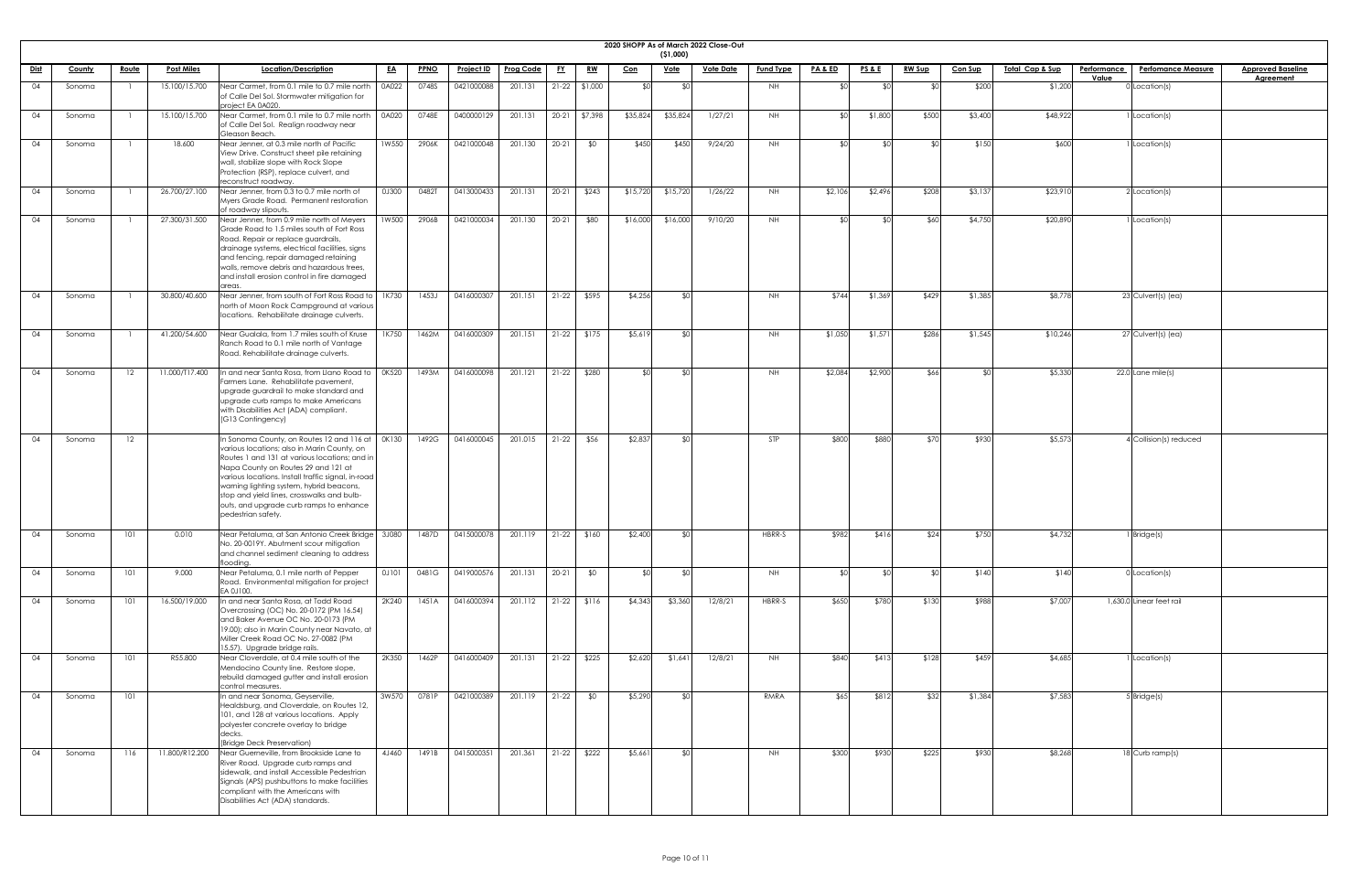|             |        |              |                   |                                                                                                                                                                                                                                                                                                                                                                                                                |           |             |                   |                  |           |                 |            | (51,000)    | 2020 SHOPP As of March 2022 Close-Out |                  |                    |                 |               |                |                            |                    |                           |                          |
|-------------|--------|--------------|-------------------|----------------------------------------------------------------------------------------------------------------------------------------------------------------------------------------------------------------------------------------------------------------------------------------------------------------------------------------------------------------------------------------------------------------|-----------|-------------|-------------------|------------------|-----------|-----------------|------------|-------------|---------------------------------------|------------------|--------------------|-----------------|---------------|----------------|----------------------------|--------------------|---------------------------|--------------------------|
| <u>Dist</u> | County | <u>Route</u> | <b>Post Miles</b> | Location/Description                                                                                                                                                                                                                                                                                                                                                                                           | <u>EA</u> | <b>PPNO</b> | <u>Project ID</u> | <b>Prog Code</b> | <u>FY</u> | <u>RW</u>       | <b>Con</b> | <u>Vote</u> | <b>Vote Date</b>                      | <b>Fund Type</b> | <b>PA &amp; ED</b> | <b>PS&amp;E</b> | <u>RW Sup</u> | <b>Con Sup</b> | <u>Total Cap &amp; Sup</u> | <b>Performance</b> | <b>Perfomance Measure</b> | <b>Approved Baseline</b> |
| 04          | Sonoma |              | 15.100/15.700     | Near Carmet, from 0.1 mile to 0.7 mile north                                                                                                                                                                                                                                                                                                                                                                   | 0A022     | 0748S       | 0421000088        | 201.131          |           | $21-22$ \$1,000 |            |             |                                       | NH               |                    |                 |               | \$200          | \$1,200                    | Value              | Iocation(s)               | <b>Agreement</b>         |
|             |        |              |                   | of Calle Del Sol. Stormwater mitigation for<br>project EA 0A020.                                                                                                                                                                                                                                                                                                                                               |           |             |                   |                  |           |                 |            |             |                                       |                  |                    |                 |               |                |                            |                    |                           |                          |
| 04          | Sonoma |              | 15.100/15.700     | Near Carmet, from 0.1 mile to 0.7 mile north<br>of Calle Del Sol. Realign roadway near<br>Gleason Beach.                                                                                                                                                                                                                                                                                                       | 0A020     | 0748E       | 0400000129        | 201.131          |           | 20-21 \$7,398   | \$35,824   | \$35,824    | 1/27/21                               | <b>NH</b>        | \$∩                | \$1,800         | \$500         | \$3,400        | \$48,922                   |                    | Location(s)               |                          |
| 04          | Sonoma |              | 18.600            | Near Jenner, at 0.3 mile north of Pacific<br>View Drive. Construct sheet pile retaining<br>wall, stabilize slope with Rock Slope<br>Protection (RSP), replace culvert, and<br>reconstruct roadway.                                                                                                                                                                                                             | 1W550     | 2906K       | 0421000048        | 201.130          | $20 - 21$ | \$0             | \$450      | \$450       | 9/24/20                               | <b>NH</b>        | \$∩                | - \$0           |               | \$150          | \$600                      |                    | Location(s)               |                          |
| 04          | Sonoma |              | 26.700/27.100     | Near Jenner, from 0.3 to 0.7 mile north of<br>Myers Grade Road. Permanent restoration<br>of roadway slipouts.                                                                                                                                                                                                                                                                                                  | 0J300     | 0482T       | 0413000433        | 201.131          | $20 - 21$ | \$243           | \$15,720   | \$15,720    | 1/26/22                               | <b>NH</b>        | \$2,106            | \$2,496         | \$208         | \$3,137        | \$23,910                   |                    | $2$ Location(s)           |                          |
| 04          | Sonoma |              | 27.300/31.500     | Near Jenner, from 0.9 mile north of Meyers<br>Grade Road to 1.5 miles south of Fort Ross<br>Road. Repair or replace guardrails,<br>drainage systems, electrical facilities, signs<br>and fencing, repair damaged retaining<br>walls, remove debris and hazardous trees,<br>and install erosion control in fire damaged<br>areas.                                                                               | 1W500     | 2906B       | 0421000034        | 201.130          | $20 - 21$ | \$80            | \$16,000   | \$16,000    | 9/10/20                               | <b>NH</b>        |                    | ו∩≯             | \$60          | \$4,750        | \$20,890                   |                    | Location(s)               |                          |
| 04          | Sonoma |              | 30.800/40.600     | Near Jenner, from south of Fort Ross Road to<br>north of Moon Rock Campground at various<br>locations. Rehabilitate drainage culverts.                                                                                                                                                                                                                                                                         | 1K730     | 1453J       | 0416000307        | 201.151          | $21-22$   | \$595           | \$4,256    |             |                                       | NH               | \$744              | \$1,369         | \$429         | \$1,385        | \$8,778                    |                    | $23$ Culvert(s) (ea)      |                          |
| 04          | Sonoma |              | 41.200/54.600     | Near Gualala, from 1.7 miles south of Kruse<br>Ranch Road to 0.1 mile north of Vantage<br>Road. Rehabilitate drainage culverts.                                                                                                                                                                                                                                                                                | 1K750     | 1462M       | 0416000309        | 201.151          | $21 - 22$ | \$175           | \$5,619    | ፋስ          |                                       | <b>NH</b>        | \$1,050            | \$1,571         | \$286         | \$1,545        | \$10,246                   |                    | 27 Culvert(s) (ea)        |                          |
| 04          | Sonoma | 12           | 11.000/T17.400    | In and near Santa Rosa, from Llano Road to<br>Farmers Lane. Rehabilitate pavement,<br>upgrade guardrail to make standard and<br>upgrade curb ramps to make Americans<br>with Disabilities Act (ADA) compliant.<br>(G13 Contingency)                                                                                                                                                                            | OK520     | 1493M       | 0416000098        | 201.121          | $21-22$   | \$280           |            |             |                                       | NH.              | \$2,084            | \$2,900         | \$66          |                | \$5,330                    |                    | $22.0$ Lane mile(s)       |                          |
| 04          | Sonoma | 12           |                   | In Sonoma County, on Routes 12 and 116 at $\int$ 0K130<br>various locations; also in Marin County, on<br>Routes 1 and 131 at various locations; and in<br>Napa County on Routes 29 and 121 at<br>various locations. Install traffic signal, in-road<br>warning lighting system, hybrid beacons,<br>stop and yield lines, crosswalks and bulb-<br>outs, and upgrade curb ramps to enhance<br>pedestrian safety. |           | 1492G       | 0416000045        | 201.015          | $21 - 22$ | \$56            | \$2,837    |             |                                       | STP              | \$800              | \$880           | \$70          | \$930          | \$5,573                    |                    | 4 Collision(s) reduced    |                          |
| 04          | Sonoma | 101          | 0.010             | Near Petaluma, at San Antonio Creek Bridge   3J080<br>No. 20-0019Y. Abutment scour mitigation<br>and channel sediment cleaning to address<br>flooding.                                                                                                                                                                                                                                                         |           | 1487D       | 0415000078        | 201.119          | $21-22$   | \$160           | \$2,400    |             |                                       | HBRR-S           | \$982              | \$416           | \$24          | \$750          | \$4,732                    |                    | Bridge(s)                 |                          |
| 04          | Sonoma | 101          | 9.000             | Near Petaluma, 0.1 mile north of Pepper<br>Road. Environmental mitigation for project<br>EA 0J100.                                                                                                                                                                                                                                                                                                             | 0J101     | 0481G       | 0419000576        | 201.131          | $20 - 21$ | \$0             |            | ⊄∩          |                                       | NH               |                    | ⊄∩              |               | \$140          | \$140                      |                    | $0$ Location(s)           |                          |
| 04          | Sonoma | 101          | 16.500/19.000     | In and near Santa Rosa, at Todd Road<br>Overcrossing (OC) No. 20-0172 (PM 16.54)<br>and Baker Avenue OC No. 20-0173 (PM<br>19.00); also in Marin County near Navato, at<br>Miller Creek Road OC No. 27-0082 (PM<br>15.57). Upgrade bridge rails.                                                                                                                                                               | 2K240     | 1451A       | 0416000394        | 201.112          | $21-22$   | \$116           | \$4,343    | \$3,360     | 12/8/21                               | HBRR-S           | \$650              | \$780           | \$130         | \$988          | \$7,007                    |                    | 1,630.0 Linear feet rail  |                          |
| 04          | Sonoma | 101          | R55.800           | Near Cloverdale, at 0.4 mile south of the<br>Mendocino County line. Restore slope,<br>rebuild damaged gutter and install erosion<br>control measures.                                                                                                                                                                                                                                                          | 2K350     | 1462P       | 0416000409        | 201.131          | $21-22$   | \$225           | \$2,620    | \$1,641     | 12/8/21                               | <b>NH</b>        | \$840              | \$413           | \$128         | \$459          | \$4,685                    |                    | Location(s)               |                          |
| 04          | Sonoma | 101          |                   | In and near Sonoma, Geyserville,<br>Healdsburg, and Cloverdale, on Routes 12,<br>101, and 128 at various locations. Apply<br>polyester concrete overlay to bridge<br>decks.<br>(Bridge Deck Preservation)                                                                                                                                                                                                      | 3W570     | 0781P       | 0421000389        | 201.119          | $21-22$   | \$0             | \$5,290    | ፋስ          |                                       | RMRA             | \$65]              | \$812           | \$32          | \$1,384        | \$7,583                    |                    | $5$ Bridge(s)             |                          |
| 04          | Sonoma | 116          | 11.800/R12.200    | Near Guerneville, from Brookside Lane to<br>River Road. Upgrade curb ramps and<br>sidewalk, and install Accessible Pedestrian<br>Signals (APS) pushbuttons to make facilities<br>compliant with the Americans with<br>Disabilities Act (ADA) standards.                                                                                                                                                        | 4J460     | 1491B       | 0415000351        | 201.361          | $21-22$   | \$222           | \$5,661    |             |                                       | NH               | \$300              | \$930           | \$225         | \$930          | \$8,268                    |                    | 18 Curb ramp(s)           |                          |

| eline<br><u>It</u> |
|--------------------|
|                    |
|                    |
|                    |
|                    |
|                    |
|                    |
|                    |
|                    |
|                    |
|                    |
|                    |
|                    |
|                    |
|                    |
|                    |
|                    |
|                    |
|                    |
|                    |
|                    |
|                    |
|                    |
|                    |
|                    |
|                    |
|                    |
|                    |
|                    |
|                    |